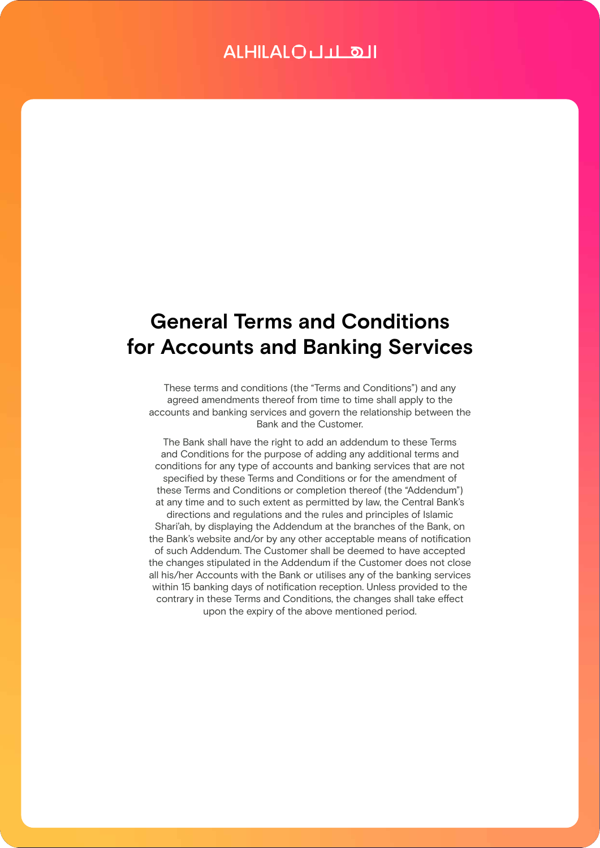# **General Terms and Conditions for Accounts and Banking Services**

These terms and conditions (the "Terms and Conditions") and any agreed amendments thereof from time to time shall apply to the accounts and banking services and govern the relationship between the Bank and the Customer.

The Bank shall have the right to add an addendum to these Terms and Conditions for the purpose of adding any additional terms and conditions for any type of accounts and banking services that are not specified by these Terms and Conditions or for the amendment of these Terms and Conditions or completion thereof (the "Addendum") at any time and to such extent as permitted by law, the Central Bank's directions and regulations and the rules and principles of Islamic Shari'ah, by displaying the Addendum at the branches of the Bank, on the Bank's website and/or by any other acceptable means of notification of such Addendum. The Customer shall be deemed to have accepted the changes stipulated in the Addendum if the Customer does not close all his/her Accounts with the Bank or utilises any of the banking services within 15 banking days of notification reception. Unless provided to the contrary in these Terms and Conditions, the changes shall take effect upon the expiry of the above mentioned period.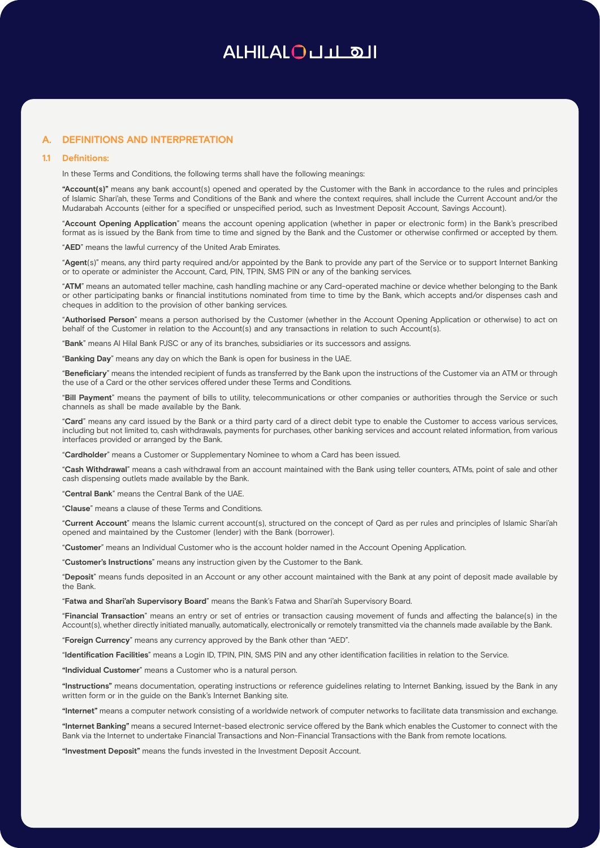## **A. DEFINITIONS AND INTERPRETATION**

### **1.1 Definitions:**

In these Terms and Conditions, the following terms shall have the following meanings:

**"Account(s)"** means any bank account(s) opened and operated by the Customer with the Bank in accordance to the rules and principles of Islamic Shari'ah, these Terms and Conditions of the Bank and where the context requires, shall include the Current Account and/or the Mudarabah Accounts (either for a specified or unspecified period, such as Investment Deposit Account, Savings Account).

"**Account Opening Application**" means the account opening application (whether in paper or electronic form) in the Bank's prescribed format as is issued by the Bank from time to time and signed by the Bank and the Customer or otherwise confirmed or accepted by them.

"**AED**" means the lawful currency of the United Arab Emirates.

"**Agent**(s)" means, any third party required and/or appointed by the Bank to provide any part of the Service or to support Internet Banking or to operate or administer the Account, Card, PIN, TPIN, SMS PIN or any of the banking services.

"**ATM**" means an automated teller machine, cash handling machine or any Card-operated machine or device whether belonging to the Bank or other participating banks or financial institutions nominated from time to time by the Bank, which accepts and/or dispenses cash and cheques in addition to the provision of other banking services.

"**Authorised Person**" means a person authorised by the Customer (whether in the Account Opening Application or otherwise) to act on behalf of the Customer in relation to the Account(s) and any transactions in relation to such Account(s).

"**Bank**" means Al Hilal Bank PJSC or any of its branches, subsidiaries or its successors and assigns.

"**Banking Day**" means any day on which the Bank is open for business in the UAE.

"**Beneficiary**" means the intended recipient of funds as transferred by the Bank upon the instructions of the Customer via an ATM or through the use of a Card or the other services offered under these Terms and Conditions.

"**Bill Payment**" means the payment of bills to utility, telecommunications or other companies or authorities through the Service or such channels as shall be made available by the Bank.

"**Card**" means any card issued by the Bank or a third party card of a direct debit type to enable the Customer to access various services, including but not limited to, cash withdrawals, payments for purchases, other banking services and account related information, from various interfaces provided or arranged by the Bank.

"**Cardholder**" means a Customer or Supplementary Nominee to whom a Card has been issued.

"**Cash Withdrawal**" means a cash withdrawal from an account maintained with the Bank using teller counters, ATMs, point of sale and other cash dispensing outlets made available by the Bank.

"**Central Bank**" means the Central Bank of the UAE.

"**Clause**" means a clause of these Terms and Conditions.

"**Current Account**" means the Islamic current account(s), structured on the concept of Qard as per rules and principles of Islamic Shari'ah opened and maintained by the Customer (lender) with the Bank (borrower).

"**Customer**" means an Individual Customer who is the account holder named in the Account Opening Application.

"**Customer's Instructions**" means any instruction given by the Customer to the Bank.

"**Deposit**" means funds deposited in an Account or any other account maintained with the Bank at any point of deposit made available by the Bank.

"**Fatwa and Shari'ah Supervisory Board**" means the Bank's Fatwa and Shari'ah Supervisory Board.

"**Financial Transaction**" means an entry or set of entries or transaction causing movement of funds and affecting the balance(s) in the Account(s), whether directly initiated manually, automatically, electronically or remotely transmitted via the channels made available by the Bank.

"**Foreign Currency**" means any currency approved by the Bank other than "AED".

"**Identification Facilities**" means a Login ID, TPIN, PIN, SMS PIN and any other identification facilities in relation to the Service.

**"Individual Customer**" means a Customer who is a natural person.

**"Instructions"** means documentation, operating instructions or reference guidelines relating to Internet Banking, issued by the Bank in any written form or in the guide on the Bank's Internet Banking site.

**"Internet"** means a computer network consisting of a worldwide network of computer networks to facilitate data transmission and exchange.

**"Internet Banking"** means a secured Internet-based electronic service offered by the Bank which enables the Customer to connect with the Bank via the Internet to undertake Financial Transactions and Non-Financial Transactions with the Bank from remote locations.

**"Investment Deposit"** means the funds invested in the Investment Deposit Account.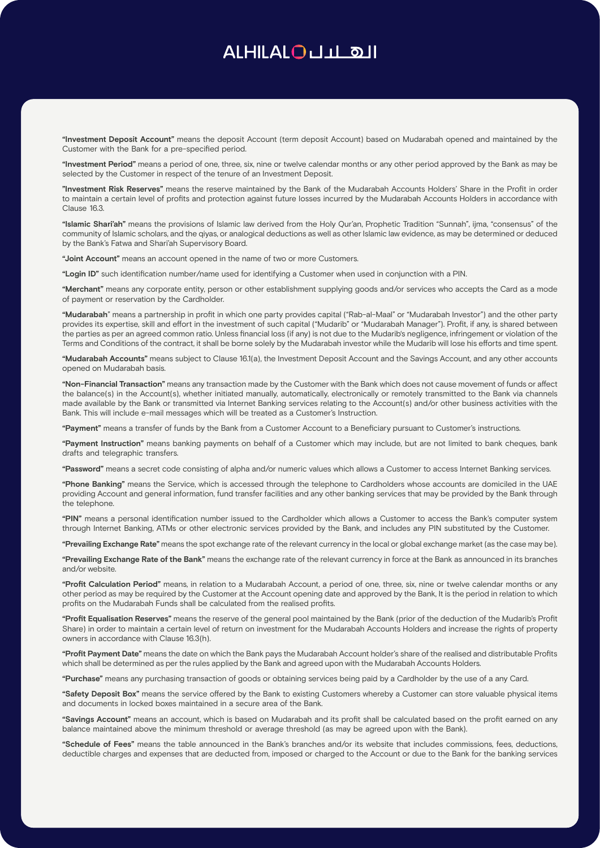**"Investment Deposit Account"** means the deposit Account (term deposit Account) based on Mudarabah opened and maintained by the Customer with the Bank for a pre-specified period.

**"Investment Period"** means a period of one, three, six, nine or twelve calendar months or any other period approved by the Bank as may be selected by the Customer in respect of the tenure of an Investment Deposit.

**"Investment Risk Reserves"** means the reserve maintained by the Bank of the Mudarabah Accounts Holders' Share in the Profit in order to maintain a certain level of profits and protection against future losses incurred by the Mudarabah Accounts Holders in accordance with Clause 16.3.

**"Islamic Shari'ah"** means the provisions of Islamic law derived from the Holy Qur'an, Prophetic Tradition "Sunnah", ijma, "consensus" of the community of Islamic scholars, and the qiyas, or analogical deductions as well as other Islamic law evidence, as may be determined or deduced by the Bank's Fatwa and Shari'ah Supervisory Board.

**"Joint Account"** means an account opened in the name of two or more Customers.

**"Login ID"** such identification number/name used for identifying a Customer when used in conjunction with a PIN.

**"Merchant"** means any corporate entity, person or other establishment supplying goods and/or services who accepts the Card as a mode of payment or reservation by the Cardholder.

**"Mudarabah**" means a partnership in profit in which one party provides capital ("Rab-al-Maal" or "Mudarabah Investor") and the other party provides its expertise, skill and effort in the investment of such capital ("Mudarib" or "Mudarabah Manager"). Profit, if any, is shared between the parties as per an agreed common ratio. Unless financial loss (if any) is not due to the Mudarib's negligence, infringement or violation of the Terms and Conditions of the contract, it shall be borne solely by the Mudarabah investor while the Mudarib will lose his efforts and time spent.

**"Mudarabah Accounts"** means subject to Clause 16.1(a), the Investment Deposit Account and the Savings Account, and any other accounts opened on Mudarabah basis.

**"Non-Financial Transaction"** means any transaction made by the Customer with the Bank which does not cause movement of funds or affect the balance(s) in the Account(s), whether initiated manually, automatically, electronically or remotely transmitted to the Bank via channels made available by the Bank or transmitted via Internet Banking services relating to the Account(s) and/or other business activities with the Bank. This will include e-mail messages which will be treated as a Customer's Instruction.

**"Payment"** means a transfer of funds by the Bank from a Customer Account to a Beneficiary pursuant to Customer's instructions.

**"Payment Instruction"** means banking payments on behalf of a Customer which may include, but are not limited to bank cheques, bank drafts and telegraphic transfers.

**"Password"** means a secret code consisting of alpha and/or numeric values which allows a Customer to access Internet Banking services.

**"Phone Banking"** means the Service, which is accessed through the telephone to Cardholders whose accounts are domiciled in the UAE providing Account and general information, fund transfer facilities and any other banking services that may be provided by the Bank through the telephone.

**"PIN"** means a personal identification number issued to the Cardholder which allows a Customer to access the Bank's computer system through Internet Banking, ATMs or other electronic services provided by the Bank, and includes any PIN substituted by the Customer.

**"Prevailing Exchange Rate"** means the spot exchange rate of the relevant currency in the local or global exchange market (as the case may be).

**"Prevailing Exchange Rate of the Bank"** means the exchange rate of the relevant currency in force at the Bank as announced in its branches and/or website.

**"Profit Calculation Period"** means, in relation to a Mudarabah Account, a period of one, three, six, nine or twelve calendar months or any other period as may be required by the Customer at the Account opening date and approved by the Bank, It is the period in relation to which profits on the Mudarabah Funds shall be calculated from the realised profits.

**"Profit Equalisation Reserves"** means the reserve of the general pool maintained by the Bank (prior of the deduction of the Mudarib's Profit Share) in order to maintain a certain level of return on investment for the Mudarabah Accounts Holders and increase the rights of property owners in accordance with Clause 16.3(h).

**"Profit Payment Date"** means the date on which the Bank pays the Mudarabah Account holder's share of the realised and distributable Profits which shall be determined as per the rules applied by the Bank and agreed upon with the Mudarabah Accounts Holders.

**"Purchase"** means any purchasing transaction of goods or obtaining services being paid by a Cardholder by the use of a any Card.

**"Safety Deposit Box"** means the service offered by the Bank to existing Customers whereby a Customer can store valuable physical items and documents in locked boxes maintained in a secure area of the Bank.

**"Savings Account"** means an account, which is based on Mudarabah and its profit shall be calculated based on the profit earned on any balance maintained above the minimum threshold or average threshold (as may be agreed upon with the Bank).

**"Schedule of Fees"** means the table announced in the Bank's branches and/or its website that includes commissions, fees, deductions, deductible charges and expenses that are deducted from, imposed or charged to the Account or due to the Bank for the banking services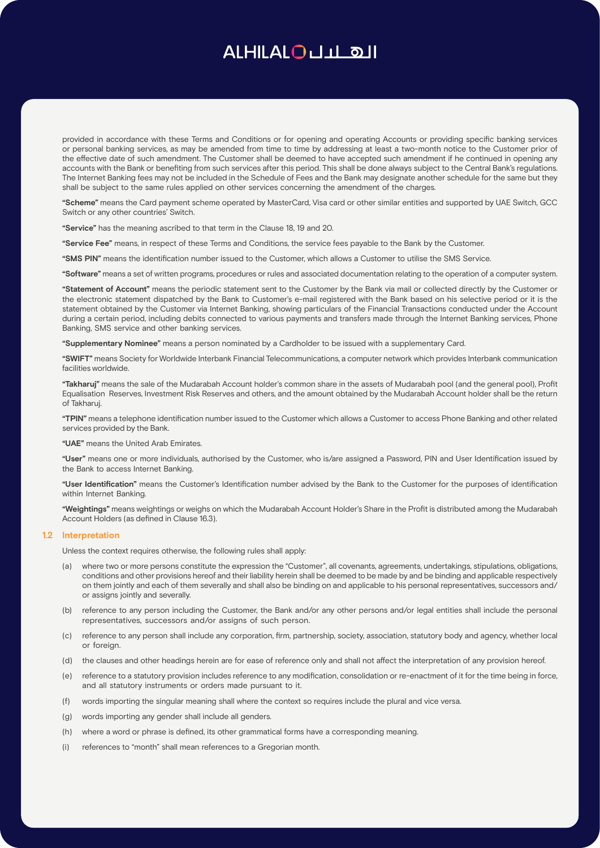provided in accordance with these Terms and Conditions or for opening and operating Accounts or providing specific banking services or personal banking services, as may be amended from time to time by addressing at least a two-month notice to the Customer prior of the effective date of such amendment. The Customer shall be deemed to have accepted such amendment if he continued in opening any accounts with the Bank or benefiting from such services after this period. This shall be done always subject to the Central Bank's regulations. The Internet Banking fees may not be included in the Schedule of Fees and the Bank may designate another schedule for the same but they shall be subject to the same rules applied on other services concerning the amendment of the charges.

**"Scheme"** means the Card payment scheme operated by MasterCard, Visa card or other similar entities and supported by UAE Switch, GCC Switch or any other countries' Switch.

**"Service"** has the meaning ascribed to that term in the Clause 18, 19 and 20.

**"Service Fee"** means, in respect of these Terms and Conditions, the service fees payable to the Bank by the Customer.

**"SMS PIN"** means the identification number issued to the Customer, which allows a Customer to utilise the SMS Service.

**"Software"** means a set of written programs, procedures or rules and associated documentation relating to the operation of a computer system.

**"Statement of Account"** means the periodic statement sent to the Customer by the Bank via mail or collected directly by the Customer or the electronic statement dispatched by the Bank to Customer's e-mail registered with the Bank based on his selective period or it is the statement obtained by the Customer via Internet Banking, showing particulars of the Financial Transactions conducted under the Account during a certain period, including debits connected to various payments and transfers made through the Internet Banking services, Phone Banking, SMS service and other banking services.

**"Supplementary Nominee"** means a person nominated by a Cardholder to be issued with a supplementary Card.

**"SWIFT"** means Society for Worldwide Interbank Financial Telecommunications, a computer network which provides Interbank communication facilities worldwide.

**"Takharuj"** means the sale of the Mudarabah Account holder's common share in the assets of Mudarabah pool (and the general pool), Profit Equalisation Reserves, Investment Risk Reserves and others, and the amount obtained by the Mudarabah Account holder shall be the return of Takharuj.

**"TPIN"** means a telephone identification number issued to the Customer which allows a Customer to access Phone Banking and other related services provided by the Bank.

**"UAE"** means the United Arab Emirates.

**"User"** means one or more individuals, authorised by the Customer, who is/are assigned a Password, PIN and User Identification issued by the Bank to access Internet Banking.

**"User Identification"** means the Customer's Identification number advised by the Bank to the Customer for the purposes of identification within Internet Banking.

**"Weightings"** means weightings or weighs on which the Mudarabah Account Holder's Share in the Profit is distributed among the Mudarabah Account Holders (as defined in Clause 16.3).

## **1.2 Interpretation**

Unless the context requires otherwise, the following rules shall apply:

- (a) where two or more persons constitute the expression the "Customer", all covenants, agreements, undertakings, stipulations, obligations, conditions and other provisions hereof and their liability herein shall be deemed to be made by and be binding and applicable respectively on them jointly and each of them severally and shall also be binding on and applicable to his personal representatives, successors and/ or assigns jointly and severally.
- (b) reference to any person including the Customer, the Bank and/or any other persons and/or legal entities shall include the personal representatives, successors and/or assigns of such person.
- (c) reference to any person shall include any corporation, firm, partnership, society, association, statutory body and agency, whether local or foreign.
- (d) the clauses and other headings herein are for ease of reference only and shall not affect the interpretation of any provision hereof.
- (e) reference to a statutory provision includes reference to any modification, consolidation or re-enactment of it for the time being in force, and all statutory instruments or orders made pursuant to it.
- (f) words importing the singular meaning shall where the context so requires include the plural and vice versa.
- (g) words importing any gender shall include all genders.
- (h) where a word or phrase is defined, its other grammatical forms have a corresponding meaning.
- (i) references to "month" shall mean references to a Gregorian month.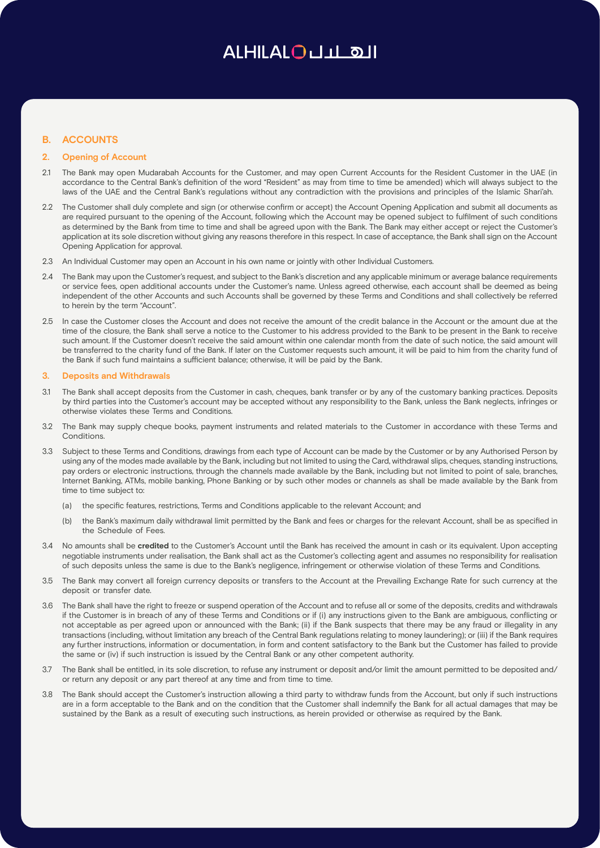## ALHILALOULL OII

## **B. ACCOUNTS**

## **2. Opening of Account**

- 2.1 The Bank may open Mudarabah Accounts for the Customer, and may open Current Accounts for the Resident Customer in the UAE (in accordance to the Central Bank's definition of the word "Resident" as may from time to time be amended) which will always subject to the laws of the UAE and the Central Bank's regulations without any contradiction with the provisions and principles of the Islamic Shari'ah.
- 2.2 The Customer shall duly complete and sign (or otherwise confirm or accept) the Account Opening Application and submit all documents as are required pursuant to the opening of the Account, following which the Account may be opened subject to fulfilment of such conditions as determined by the Bank from time to time and shall be agreed upon with the Bank. The Bank may either accept or reject the Customer's application at its sole discretion without giving any reasons therefore in this respect. In case of acceptance, the Bank shall sign on the Account Opening Application for approval.
- 2.3 An Individual Customer may open an Account in his own name or jointly with other Individual Customers.
- 2.4 The Bank may upon the Customer's request, and subject to the Bank's discretion and any applicable minimum or average balance requirements or service fees, open additional accounts under the Customer's name. Unless agreed otherwise, each account shall be deemed as being independent of the other Accounts and such Accounts shall be governed by these Terms and Conditions and shall collectively be referred to herein by the term "Account".
- 2.5 In case the Customer closes the Account and does not receive the amount of the credit balance in the Account or the amount due at the time of the closure, the Bank shall serve a notice to the Customer to his address provided to the Bank to be present in the Bank to receive such amount. If the Customer doesn't receive the said amount within one calendar month from the date of such notice, the said amount will be transferred to the charity fund of the Bank. If later on the Customer requests such amount, it will be paid to him from the charity fund of the Bank if such fund maintains a sufficient balance; otherwise, it will be paid by the Bank.

#### **3. Deposits and Withdrawals**

- 3.1 The Bank shall accept deposits from the Customer in cash, cheques, bank transfer or by any of the customary banking practices. Deposits by third parties into the Customer's account may be accepted without any responsibility to the Bank, unless the Bank neglects, infringes or otherwise violates these Terms and Conditions.
- 3.2 The Bank may supply cheque books, payment instruments and related materials to the Customer in accordance with these Terms and Conditions.
- 3.3 Subject to these Terms and Conditions, drawings from each type of Account can be made by the Customer or by any Authorised Person by using any of the modes made available by the Bank, including but not limited to using the Card, withdrawal slips, cheques, standing instructions, pay orders or electronic instructions, through the channels made available by the Bank, including but not limited to point of sale, branches, Internet Banking, ATMs, mobile banking, Phone Banking or by such other modes or channels as shall be made available by the Bank from time to time subject to:
	- (a) the specific features, restrictions, Terms and Conditions applicable to the relevant Account; and
	- (b) the Bank's maximum daily withdrawal limit permitted by the Bank and fees or charges for the relevant Account, shall be as specified in the Schedule of Fees.
- 3.4 No amounts shall be **credited** to the Customer's Account until the Bank has received the amount in cash or its equivalent. Upon accepting negotiable instruments under realisation, the Bank shall act as the Customer's collecting agent and assumes no responsibility for realisation of such deposits unless the same is due to the Bank's negligence, infringement or otherwise violation of these Terms and Conditions.
- 3.5 The Bank may convert all foreign currency deposits or transfers to the Account at the Prevailing Exchange Rate for such currency at the deposit or transfer date.
- 3.6 The Bank shall have the right to freeze or suspend operation of the Account and to refuse all or some of the deposits, credits and withdrawals if the Customer is in breach of any of these Terms and Conditions or if (i) any instructions given to the Bank are ambiguous, conflicting or not acceptable as per agreed upon or announced with the Bank; (ii) if the Bank suspects that there may be any fraud or illegality in any transactions (including, without limitation any breach of the Central Bank regulations relating to money laundering); or (iii) if the Bank requires any further instructions, information or documentation, in form and content satisfactory to the Bank but the Customer has failed to provide the same or (iv) if such instruction is issued by the Central Bank or any other competent authority.
- 3.7 The Bank shall be entitled, in its sole discretion, to refuse any instrument or deposit and/or limit the amount permitted to be deposited and/ or return any deposit or any part thereof at any time and from time to time.
- 3.8 The Bank should accept the Customer's instruction allowing a third party to withdraw funds from the Account, but only if such instructions are in a form acceptable to the Bank and on the condition that the Customer shall indemnify the Bank for all actual damages that may be sustained by the Bank as a result of executing such instructions, as herein provided or otherwise as required by the Bank.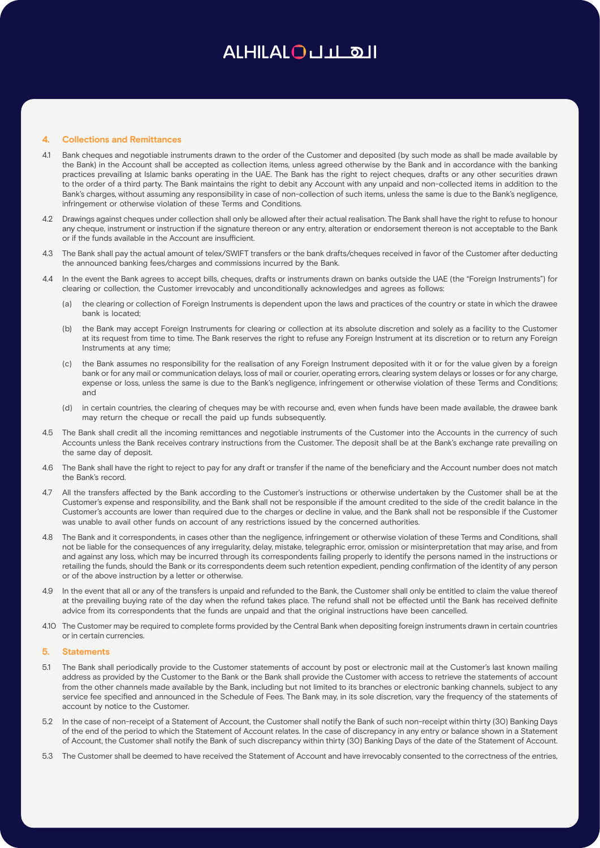### **4. Collections and Remittances**

- 4.1 Bank cheques and negotiable instruments drawn to the order of the Customer and deposited (by such mode as shall be made available by the Bank) in the Account shall be accepted as collection items, unless agreed otherwise by the Bank and in accordance with the banking practices prevailing at Islamic banks operating in the UAE. The Bank has the right to reject cheques, drafts or any other securities drawn to the order of a third party. The Bank maintains the right to debit any Account with any unpaid and non-collected items in addition to the Bank's charges, without assuming any responsibility in case of non-collection of such items, unless the same is due to the Bank's negligence, infringement or otherwise violation of these Terms and Conditions.
- 4.2 Drawings against cheques under collection shall only be allowed after their actual realisation. The Bank shall have the right to refuse to honour any cheque, instrument or instruction if the signature thereon or any entry, alteration or endorsement thereon is not acceptable to the Bank or if the funds available in the Account are insufficient.
- 4.3 The Bank shall pay the actual amount of telex/SWIFT transfers or the bank drafts/cheques received in favor of the Customer after deducting the announced banking fees/charges and commissions incurred by the Bank.
- 4.4 In the event the Bank agrees to accept bills, cheques, drafts or instruments drawn on banks outside the UAE (the "Foreign Instruments") for clearing or collection, the Customer irrevocably and unconditionally acknowledges and agrees as follows:
	- (a) the clearing or collection of Foreign Instruments is dependent upon the laws and practices of the country or state in which the drawee bank is located;
	- (b) the Bank may accept Foreign Instruments for clearing or collection at its absolute discretion and solely as a facility to the Customer at its request from time to time. The Bank reserves the right to refuse any Foreign Instrument at its discretion or to return any Foreign Instruments at any time;
	- (c) the Bank assumes no responsibility for the realisation of any Foreign Instrument deposited with it or for the value given by a foreign bank or for any mail or communication delays, loss of mail or courier, operating errors, clearing system delays or losses or for any charge, expense or loss, unless the same is due to the Bank's negligence, infringement or otherwise violation of these Terms and Conditions; and
	- (d) in certain countries, the clearing of cheques may be with recourse and, even when funds have been made available, the drawee bank may return the cheque or recall the paid up funds subsequently.
- 4.5 The Bank shall credit all the incoming remittances and negotiable instruments of the Customer into the Accounts in the currency of such Accounts unless the Bank receives contrary instructions from the Customer. The deposit shall be at the Bank's exchange rate prevailing on the same day of deposit.
- 4.6 The Bank shall have the right to reject to pay for any draft or transfer if the name of the beneficiary and the Account number does not match the Bank's record.
- 4.7 All the transfers affected by the Bank according to the Customer's instructions or otherwise undertaken by the Customer shall be at the Customer's expense and responsibility, and the Bank shall not be responsible if the amount credited to the side of the credit balance in the Customer's accounts are lower than required due to the charges or decline in value, and the Bank shall not be responsible if the Customer was unable to avail other funds on account of any restrictions issued by the concerned authorities.
- 4.8 The Bank and it correspondents, in cases other than the negligence, infringement or otherwise violation of these Terms and Conditions, shall not be liable for the consequences of any irregularity, delay, mistake, telegraphic error, omission or misinterpretation that may arise, and from and against any loss, which may be incurred through its correspondents failing properly to identify the persons named in the instructions or retailing the funds, should the Bank or its correspondents deem such retention expedient, pending confirmation of the identity of any person or of the above instruction by a letter or otherwise.
- 4.9 In the event that all or any of the transfers is unpaid and refunded to the Bank, the Customer shall only be entitled to claim the value thereof at the prevailing buying rate of the day when the refund takes place. The refund shall not be effected until the Bank has received definite advice from its correspondents that the funds are unpaid and that the original instructions have been cancelled.
- 4.10 The Customer may be required to complete forms provided by the Central Bank when depositing foreign instruments drawn in certain countries or in certain currencies.

#### **5. Statements**

- 5.1 The Bank shall periodically provide to the Customer statements of account by post or electronic mail at the Customer's last known mailing address as provided by the Customer to the Bank or the Bank shall provide the Customer with access to retrieve the statements of account from the other channels made available by the Bank, including but not limited to its branches or electronic banking channels, subject to any service fee specified and announced in the Schedule of Fees. The Bank may, in its sole discretion, vary the frequency of the statements of account by notice to the Customer.
- 5.2 In the case of non-receipt of a Statement of Account, the Customer shall notify the Bank of such non-receipt within thirty (30) Banking Days of the end of the period to which the Statement of Account relates. In the case of discrepancy in any entry or balance shown in a Statement of Account, the Customer shall notify the Bank of such discrepancy within thirty (30) Banking Days of the date of the Statement of Account.
- 5.3 The Customer shall be deemed to have received the Statement of Account and have irrevocably consented to the correctness of the entries,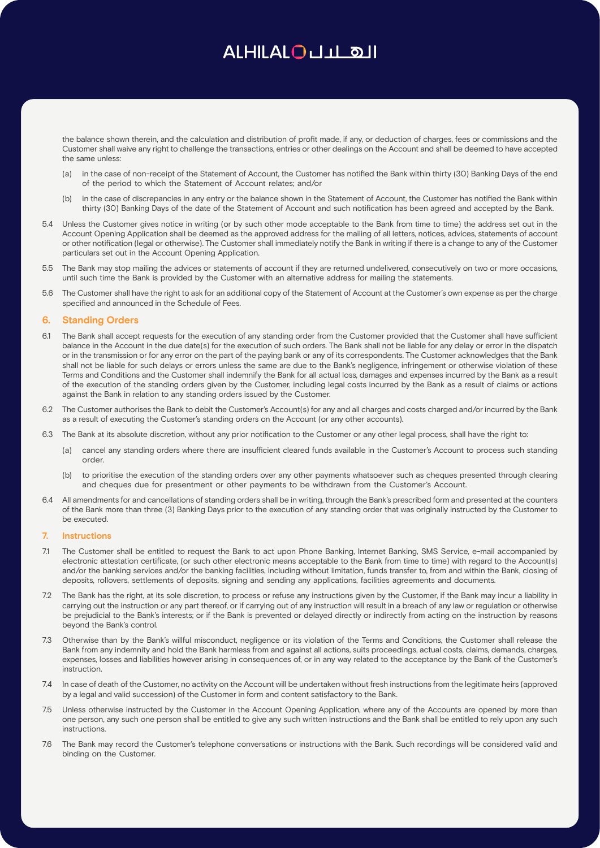the balance shown therein, and the calculation and distribution of profit made, if any, or deduction of charges, fees or commissions and the Customer shall waive any right to challenge the transactions, entries or other dealings on the Account and shall be deemed to have accepted the same unless:

- (a) in the case of non-receipt of the Statement of Account, the Customer has notified the Bank within thirty (30) Banking Days of the end of the period to which the Statement of Account relates; and/or
- (b) in the case of discrepancies in any entry or the balance shown in the Statement of Account, the Customer has notified the Bank within thirty (30) Banking Days of the date of the Statement of Account and such notification has been agreed and accepted by the Bank.
- 5.4 Unless the Customer gives notice in writing (or by such other mode acceptable to the Bank from time to time) the address set out in the Account Opening Application shall be deemed as the approved address for the mailing of all letters, notices, advices, statements of account or other notification (legal or otherwise). The Customer shall immediately notify the Bank in writing if there is a change to any of the Customer particulars set out in the Account Opening Application.
- 5.5 The Bank may stop mailing the advices or statements of account if they are returned undelivered, consecutively on two or more occasions, until such time the Bank is provided by the Customer with an alternative address for mailing the statements.
- 5.6 The Customer shall have the right to ask for an additional copy of the Statement of Account at the Customer's own expense as per the charge specified and announced in the Schedule of Fees.

## **6. Standing Orders**

- 6.1 The Bank shall accept requests for the execution of any standing order from the Customer provided that the Customer shall have sufficient balance in the Account in the due date(s) for the execution of such orders. The Bank shall not be liable for any delay or error in the dispatch or in the transmission or for any error on the part of the paying bank or any of its correspondents. The Customer acknowledges that the Bank shall not be liable for such delays or errors unless the same are due to the Bank's negligence, infringement or otherwise violation of these Terms and Conditions and the Customer shall indemnify the Bank for all actual loss, damages and expenses incurred by the Bank as a result of the execution of the standing orders given by the Customer, including legal costs incurred by the Bank as a result of claims or actions against the Bank in relation to any standing orders issued by the Customer.
- 6.2 The Customer authorises the Bank to debit the Customer's Account(s) for any and all charges and costs charged and/or incurred by the Bank as a result of executing the Customer's standing orders on the Account (or any other accounts).
- 6.3 The Bank at its absolute discretion, without any prior notification to the Customer or any other legal process, shall have the right to:
	- (a) cancel any standing orders where there are insufficient cleared funds available in the Customer's Account to process such standing order.
	- (b) to prioritise the execution of the standing orders over any other payments whatsoever such as cheques presented through clearing and cheques due for presentment or other payments to be withdrawn from the Customer's Account.
- 6.4 All amendments for and cancellations of standing orders shall be in writing, through the Bank's prescribed form and presented at the counters of the Bank more than three (3) Banking Days prior to the execution of any standing order that was originally instructed by the Customer to be executed.

## **7. Instructions**

- 7.1 The Customer shall be entitled to request the Bank to act upon Phone Banking, Internet Banking, SMS Service, e-mail accompanied by electronic attestation certificate, (or such other electronic means acceptable to the Bank from time to time) with regard to the Account(s) and/or the banking services and/or the banking facilities, including without limitation, funds transfer to, from and within the Bank, closing of deposits, rollovers, settlements of deposits, signing and sending any applications, facilities agreements and documents.
- 7.2 The Bank has the right, at its sole discretion, to process or refuse any instructions given by the Customer, if the Bank may incur a liability in carrying out the instruction or any part thereof, or if carrying out of any instruction will result in a breach of any law or regulation or otherwise be prejudicial to the Bank's interests; or if the Bank is prevented or delayed directly or indirectly from acting on the instruction by reasons beyond the Bank's control.
- 7.3 Otherwise than by the Bank's willful misconduct, negligence or its violation of the Terms and Conditions, the Customer shall release the Bank from any indemnity and hold the Bank harmless from and against all actions, suits proceedings, actual costs, claims, demands, charges, expenses, losses and liabilities however arising in consequences of, or in any way related to the acceptance by the Bank of the Customer's instruction.
- 7.4 In case of death of the Customer, no activity on the Account will be undertaken without fresh instructions from the legitimate heirs (approved by a legal and valid succession) of the Customer in form and content satisfactory to the Bank.
- 7.5 Unless otherwise instructed by the Customer in the Account Opening Application, where any of the Accounts are opened by more than one person, any such one person shall be entitled to give any such written instructions and the Bank shall be entitled to rely upon any such instructions.
- 7.6 The Bank may record the Customer's telephone conversations or instructions with the Bank. Such recordings will be considered valid and binding on the Customer.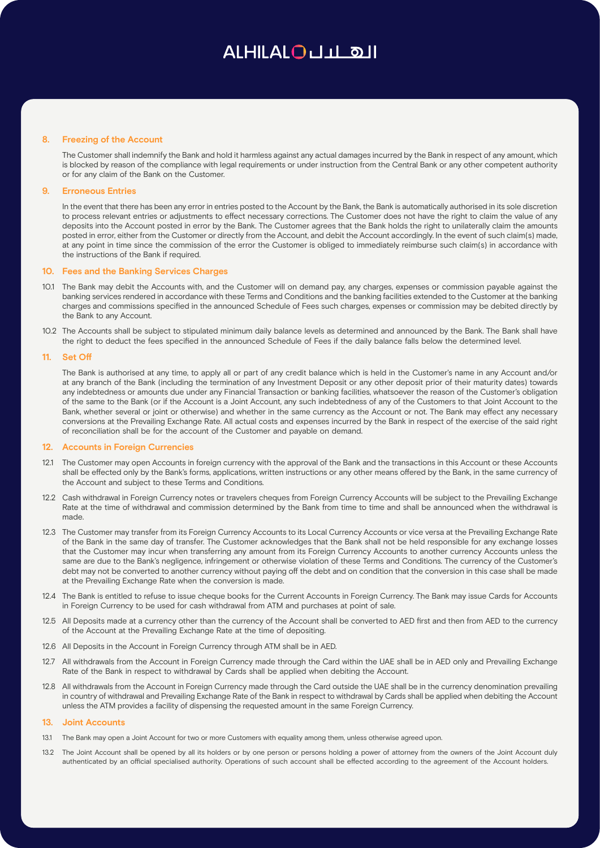### **8. Freezing of the Account**

The Customer shall indemnify the Bank and hold it harmless against any actual damages incurred by the Bank in respect of any amount, which is blocked by reason of the compliance with legal requirements or under instruction from the Central Bank or any other competent authority or for any claim of the Bank on the Customer.

## **9. Erroneous Entries**

In the event that there has been any error in entries posted to the Account by the Bank, the Bank is automatically authorised in its sole discretion to process relevant entries or adjustments to effect necessary corrections. The Customer does not have the right to claim the value of any deposits into the Account posted in error by the Bank. The Customer agrees that the Bank holds the right to unilaterally claim the amounts posted in error, either from the Customer or directly from the Account, and debit the Account accordingly. In the event of such claim(s) made, at any point in time since the commission of the error the Customer is obliged to immediately reimburse such claim(s) in accordance with the instructions of the Bank if required.

## **10. Fees and the Banking Services Charges**

- 10.1 The Bank may debit the Accounts with, and the Customer will on demand pay, any charges, expenses or commission payable against the banking services rendered in accordance with these Terms and Conditions and the banking facilities extended to the Customer at the banking charges and commissions specified in the announced Schedule of Fees such charges, expenses or commission may be debited directly by the Bank to any Account.
- 10.2 The Accounts shall be subject to stipulated minimum daily balance levels as determined and announced by the Bank. The Bank shall have the right to deduct the fees specified in the announced Schedule of Fees if the daily balance falls below the determined level.

### **11. Set Off**

The Bank is authorised at any time, to apply all or part of any credit balance which is held in the Customer's name in any Account and/or at any branch of the Bank (including the termination of any Investment Deposit or any other deposit prior of their maturity dates) towards any indebtedness or amounts due under any Financial Transaction or banking facilities, whatsoever the reason of the Customer's obligation of the same to the Bank (or if the Account is a Joint Account, any such indebtedness of any of the Customers to that Joint Account to the Bank, whether several or joint or otherwise) and whether in the same currency as the Account or not. The Bank may effect any necessary conversions at the Prevailing Exchange Rate. All actual costs and expenses incurred by the Bank in respect of the exercise of the said right of reconciliation shall be for the account of the Customer and payable on demand.

#### **12. Accounts in Foreign Currencies**

- 12.1 The Customer may open Accounts in foreign currency with the approval of the Bank and the transactions in this Account or these Accounts shall be effected only by the Bank's forms, applications, written instructions or any other means offered by the Bank, in the same currency of the Account and subject to these Terms and Conditions.
- 12.2 Cash withdrawal in Foreign Currency notes or travelers cheques from Foreign Currency Accounts will be subject to the Prevailing Exchange Rate at the time of withdrawal and commission determined by the Bank from time to time and shall be announced when the withdrawal is made.
- 12.3 The Customer may transfer from its Foreign Currency Accounts to its Local Currency Accounts or vice versa at the Prevailing Exchange Rate of the Bank in the same day of transfer. The Customer acknowledges that the Bank shall not be held responsible for any exchange losses that the Customer may incur when transferring any amount from its Foreign Currency Accounts to another currency Accounts unless the same are due to the Bank's negligence, infringement or otherwise violation of these Terms and Conditions. The currency of the Customer's debt may not be converted to another currency without paying off the debt and on condition that the conversion in this case shall be made at the Prevailing Exchange Rate when the conversion is made.
- 12.4 The Bank is entitled to refuse to issue cheque books for the Current Accounts in Foreign Currency. The Bank may issue Cards for Accounts in Foreign Currency to be used for cash withdrawal from ATM and purchases at point of sale.
- 12.5 All Deposits made at a currency other than the currency of the Account shall be converted to AED first and then from AED to the currency of the Account at the Prevailing Exchange Rate at the time of depositing.
- 12.6 All Deposits in the Account in Foreign Currency through ATM shall be in AED.
- 12.7 All withdrawals from the Account in Foreign Currency made through the Card within the UAE shall be in AED only and Prevailing Exchange Rate of the Bank in respect to withdrawal by Cards shall be applied when debiting the Account.
- 12.8 All withdrawals from the Account in Foreign Currency made through the Card outside the UAE shall be in the currency denomination prevailing in country of withdrawal and Prevailing Exchange Rate of the Bank in respect to withdrawal by Cards shall be applied when debiting the Account unless the ATM provides a facility of dispensing the requested amount in the same Foreign Currency.

#### **13. Joint Accounts**

- 13.1 The Bank may open a Joint Account for two or more Customers with equality among them, unless otherwise agreed upon.
- 13.2 The Joint Account shall be opened by all its holders or by one person or persons holding a power of attorney from the owners of the Joint Account duly authenticated by an official specialised authority. Operations of such account shall be effected according to the agreement of the Account holders.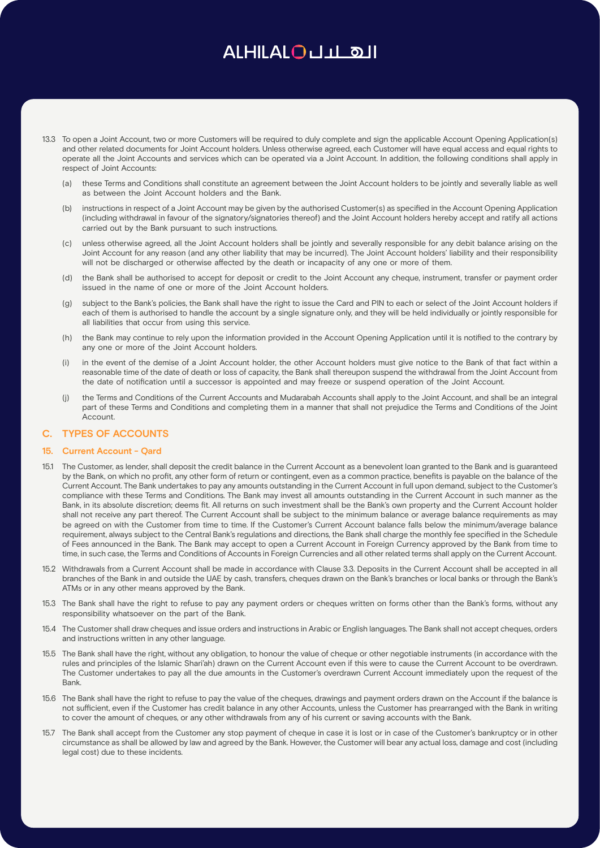- 13.3 To open a Joint Account, two or more Customers will be required to duly complete and sign the applicable Account Opening Application(s) and other related documents for Joint Account holders. Unless otherwise agreed, each Customer will have equal access and equal rights to operate all the Joint Accounts and services which can be operated via a Joint Account. In addition, the following conditions shall apply in respect of Joint Accounts:
	- (a) these Terms and Conditions shall constitute an agreement between the Joint Account holders to be jointly and severally liable as well as between the Joint Account holders and the Bank.
	- instructions in respect of a Joint Account may be given by the authorised Customer(s) as specified in the Account Opening Application (including withdrawal in favour of the signatory/signatories thereof) and the Joint Account holders hereby accept and ratify all actions carried out by the Bank pursuant to such instructions.
	- (c) unless otherwise agreed, all the Joint Account holders shall be jointly and severally responsible for any debit balance arising on the Joint Account for any reason (and any other liability that may be incurred). The Joint Account holders' liability and their responsibility will not be discharged or otherwise affected by the death or incapacity of any one or more of them.
	- (d) the Bank shall be authorised to accept for deposit or credit to the Joint Account any cheque, instrument, transfer or payment order issued in the name of one or more of the Joint Account holders.
	- (g) subject to the Bank's policies, the Bank shall have the right to issue the Card and PIN to each or select of the Joint Account holders if each of them is authorised to handle the account by a single signature only, and they will be held individually or jointly responsible for all liabilities that occur from using this service.
	- (h) the Bank may continue to rely upon the information provided in the Account Opening Application until it is notified to the contrary by any one or more of the Joint Account holders.
	- (i) in the event of the demise of a Joint Account holder, the other Account holders must give notice to the Bank of that fact within a reasonable time of the date of death or loss of capacity, the Bank shall thereupon suspend the withdrawal from the Joint Account from the date of notification until a successor is appointed and may freeze or suspend operation of the Joint Account.
	- (j) the Terms and Conditions of the Current Accounts and Mudarabah Accounts shall apply to the Joint Account, and shall be an integral part of these Terms and Conditions and completing them in a manner that shall not prejudice the Terms and Conditions of the Joint Account.

## **C. TYPES OF ACCOUNTS**

## **15. Current Account - Qard**

- 15.1 The Customer, as lender, shall deposit the credit balance in the Current Account as a benevolent loan granted to the Bank and is guaranteed by the Bank, on which no profit, any other form of return or contingent, even as a common practice, benefits is payable on the balance of the Current Account. The Bank undertakes to pay any amounts outstanding in the Current Account in full upon demand, subject to the Customer's compliance with these Terms and Conditions. The Bank may invest all amounts outstanding in the Current Account in such manner as the Bank, in its absolute discretion; deems fit. All returns on such investment shall be the Bank's own property and the Current Account holder shall not receive any part thereof. The Current Account shall be subject to the minimum balance or average balance requirements as may be agreed on with the Customer from time to time. If the Customer's Current Account balance falls below the minimum/average balance requirement, always subject to the Central Bank's regulations and directions, the Bank shall charge the monthly fee specified in the Schedule of Fees announced in the Bank. The Bank may accept to open a Current Account in Foreign Currency approved by the Bank from time to time, in such case, the Terms and Conditions of Accounts in Foreign Currencies and all other related terms shall apply on the Current Account.
- 15.2 Withdrawals from a Current Account shall be made in accordance with Clause 3.3. Deposits in the Current Account shall be accepted in all branches of the Bank in and outside the UAE by cash, transfers, cheques drawn on the Bank's branches or local banks or through the Bank's ATMs or in any other means approved by the Bank.
- 15.3 The Bank shall have the right to refuse to pay any payment orders or cheques written on forms other than the Bank's forms, without any responsibility whatsoever on the part of the Bank.
- 15.4 The Customer shall draw cheques and issue orders and instructions in Arabic or English languages. The Bank shall not accept cheques, orders and instructions written in any other language.
- 15.5 The Bank shall have the right, without any obligation, to honour the value of cheque or other negotiable instruments (in accordance with the rules and principles of the Islamic Shari'ah) drawn on the Current Account even if this were to cause the Current Account to be overdrawn. The Customer undertakes to pay all the due amounts in the Customer's overdrawn Current Account immediately upon the request of the Bank.
- 15.6 The Bank shall have the right to refuse to pay the value of the cheques, drawings and payment orders drawn on the Account if the balance is not sufficient, even if the Customer has credit balance in any other Accounts, unless the Customer has prearranged with the Bank in writing to cover the amount of cheques, or any other withdrawals from any of his current or saving accounts with the Bank.
- 15.7 The Bank shall accept from the Customer any stop payment of cheque in case it is lost or in case of the Customer's bankruptcy or in other circumstance as shall be allowed by law and agreed by the Bank. However, the Customer will bear any actual loss, damage and cost (including legal cost) due to these incidents.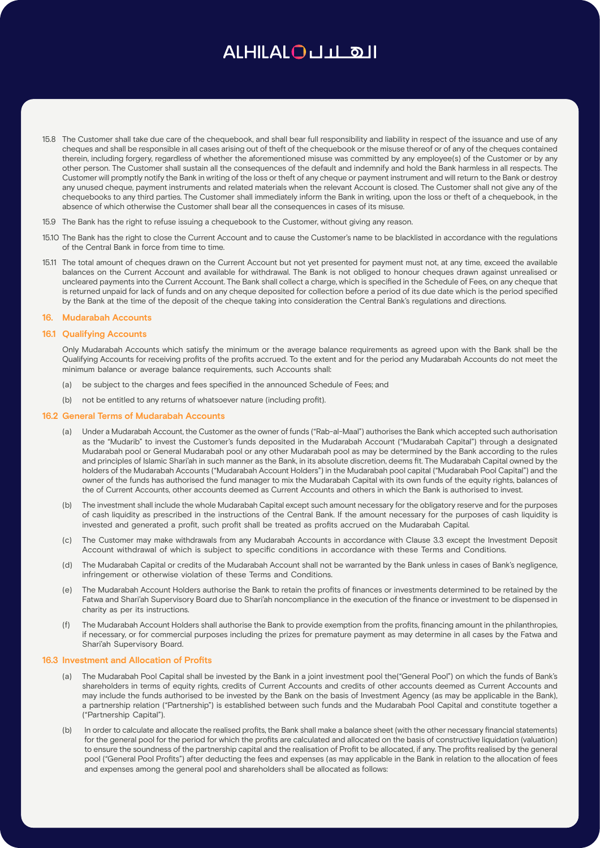- 15.8 The Customer shall take due care of the chequebook, and shall bear full responsibility and liability in respect of the issuance and use of any cheques and shall be responsible in all cases arising out of theft of the chequebook or the misuse thereof or of any of the cheques contained therein, including forgery, regardless of whether the aforementioned misuse was committed by any employee(s) of the Customer or by any other person. The Customer shall sustain all the consequences of the default and indemnify and hold the Bank harmless in all respects. The Customer will promptly notify the Bank in writing of the loss or theft of any cheque or payment instrument and will return to the Bank or destroy any unused cheque, payment instruments and related materials when the relevant Account is closed. The Customer shall not give any of the chequebooks to any third parties. The Customer shall immediately inform the Bank in writing, upon the loss or theft of a chequebook, in the absence of which otherwise the Customer shall bear all the consequences in cases of its misuse.
- 15.9 The Bank has the right to refuse issuing a chequebook to the Customer, without giving any reason.
- 15.10 The Bank has the right to close the Current Account and to cause the Customer's name to be blacklisted in accordance with the regulations of the Central Bank in force from time to time.
- 15.11 The total amount of cheques drawn on the Current Account but not yet presented for payment must not, at any time, exceed the available balances on the Current Account and available for withdrawal. The Bank is not obliged to honour cheques drawn against unrealised or uncleared payments into the Current Account. The Bank shall collect a charge, which is specified in the Schedule of Fees, on any cheque that is returned unpaid for lack of funds and on any cheque deposited for collection before a period of its due date which is the period specified by the Bank at the time of the deposit of the cheque taking into consideration the Central Bank's regulations and directions.

#### **16. Mudarabah Accounts**

## **16.1 Qualifying Accounts**

Only Mudarabah Accounts which satisfy the minimum or the average balance requirements as agreed upon with the Bank shall be the Qualifying Accounts for receiving profits of the profits accrued. To the extent and for the period any Mudarabah Accounts do not meet the minimum balance or average balance requirements, such Accounts shall:

- (a) be subject to the charges and fees specified in the announced Schedule of Fees; and
- (b) not be entitled to any returns of whatsoever nature (including profit).

### **16.2 General Terms of Mudarabah Accounts**

- (a) Under a Mudarabah Account, the Customer as the owner of funds ("Rab-al-Maal") authorises the Bank which accepted such authorisation as the "Mudarib" to invest the Customer's funds deposited in the Mudarabah Account ("Mudarabah Capital") through a designated Mudarabah pool or General Mudarabah pool or any other Mudarabah pool as may be determined by the Bank according to the rules and principles of Islamic Shari'ah in such manner as the Bank, in its absolute discretion, deems fit. The Mudarabah Capital owned by the holders of the Mudarabah Accounts ("Mudarabah Account Holders") in the Mudarabah pool capital ("Mudarabah Pool Capital") and the owner of the funds has authorised the fund manager to mix the Mudarabah Capital with its own funds of the equity rights, balances of the of Current Accounts, other accounts deemed as Current Accounts and others in which the Bank is authorised to invest.
- (b) The investment shall include the whole Mudarabah Capital except such amount necessary for the obligatory reserve and for the purposes of cash liquidity as prescribed in the instructions of the Central Bank. If the amount necessary for the purposes of cash liquidity is invested and generated a profit, such profit shall be treated as profits accrued on the Mudarabah Capital.
- (c) The Customer may make withdrawals from any Mudarabah Accounts in accordance with Clause 3.3 except the Investment Deposit Account withdrawal of which is subject to specific conditions in accordance with these Terms and Conditions.
- (d) The Mudarabah Capital or credits of the Mudarabah Account shall not be warranted by the Bank unless in cases of Bank's negligence, infringement or otherwise violation of these Terms and Conditions.
- (e) The Mudarabah Account Holders authorise the Bank to retain the profits of finances or investments determined to be retained by the Fatwa and Shari'ah Supervisory Board due to Shari'ah noncompliance in the execution of the finance or investment to be dispensed in charity as per its instructions.
- (f) The Mudarabah Account Holders shall authorise the Bank to provide exemption from the profits, financing amount in the philanthropies, if necessary, or for commercial purposes including the prizes for premature payment as may determine in all cases by the Fatwa and Shari'ah Supervisory Board.

#### **16.3 Investment and Allocation of Profits**

- (a) The Mudarabah Pool Capital shall be invested by the Bank in a joint investment pool the("General Pool") on which the funds of Bank's shareholders in terms of equity rights, credits of Current Accounts and credits of other accounts deemed as Current Accounts and may include the funds authorised to be invested by the Bank on the basis of Investment Agency (as may be applicable in the Bank), a partnership relation ("Partnership") is established between such funds and the Mudarabah Pool Capital and constitute together a ("Partnership Capital").
- (b) In order to calculate and allocate the realised profits, the Bank shall make a balance sheet (with the other necessary financial statements) for the general pool for the period for which the profits are calculated and allocated on the basis of constructive liquidation (valuation) to ensure the soundness of the partnership capital and the realisation of Profit to be allocated, if any. The profits realised by the general pool ("General Pool Profits") after deducting the fees and expenses (as may applicable in the Bank in relation to the allocation of fees and expenses among the general pool and shareholders shall be allocated as follows: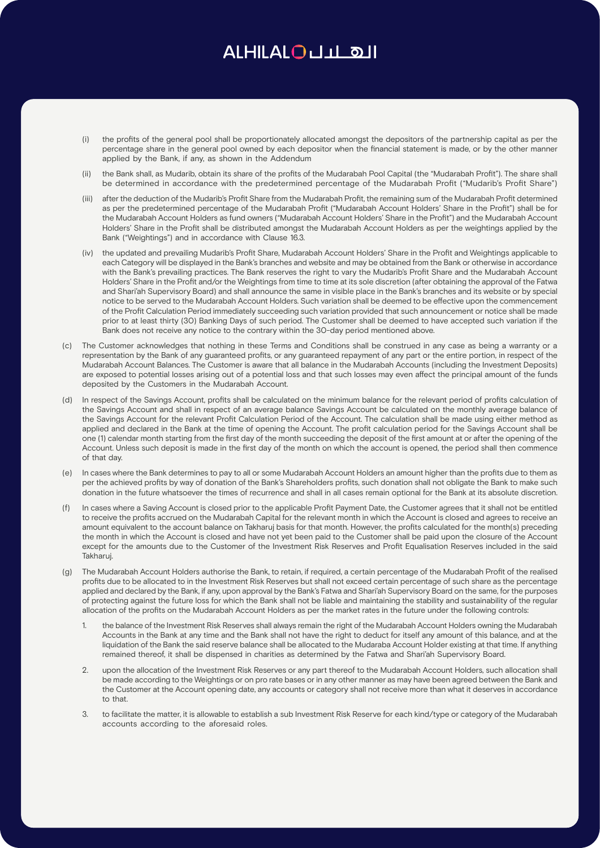- (i) the profits of the general pool shall be proportionately allocated amongst the depositors of the partnership capital as per the percentage share in the general pool owned by each depositor when the financial statement is made, or by the other manner applied by the Bank, if any, as shown in the Addendum
- (ii) the Bank shall, as Mudarib, obtain its share of the profits of the Mudarabah Pool Capital (the "Mudarabah Profit"). The share shall be determined in accordance with the predetermined percentage of the Mudarabah Profit ("Mudarib's Profit Share")
- (iii) after the deduction of the Mudarib's Profit Share from the Mudarabah Profit, the remaining sum of the Mudarabah Profit determined as per the predetermined percentage of the Mudarabah Profit ("Mudarabah Account Holders' Share in the Profit") shall be for the Mudarabah Account Holders as fund owners ("Mudarabah Account Holders' Share in the Profit") and the Mudarabah Account Holders' Share in the Profit shall be distributed amongst the Mudarabah Account Holders as per the weightings applied by the Bank ("Weightings") and in accordance with Clause 16.3.
- (iv) the updated and prevailing Mudarib's Profit Share, Mudarabah Account Holders' Share in the Profit and Weightings applicable to each Category will be displayed in the Bank's branches and website and may be obtained from the Bank or otherwise in accordance with the Bank's prevailing practices. The Bank reserves the right to vary the Mudarib's Profit Share and the Mudarabah Account Holders' Share in the Profit and/or the Weightings from time to time at its sole discretion (after obtaining the approval of the Fatwa and Shari'ah Supervisory Board) and shall announce the same in visible place in the Bank's branches and its website or by special notice to be served to the Mudarabah Account Holders. Such variation shall be deemed to be effective upon the commencement of the Profit Calculation Period immediately succeeding such variation provided that such announcement or notice shall be made prior to at least thirty (30) Banking Days of such period. The Customer shall be deemed to have accepted such variation if the Bank does not receive any notice to the contrary within the 30-day period mentioned above.
- (c) The Customer acknowledges that nothing in these Terms and Conditions shall be construed in any case as being a warranty or a representation by the Bank of any guaranteed profits, or any guaranteed repayment of any part or the entire portion, in respect of the Mudarabah Account Balances. The Customer is aware that all balance in the Mudarabah Accounts (including the Investment Deposits) are exposed to potential losses arising out of a potential loss and that such losses may even affect the principal amount of the funds deposited by the Customers in the Mudarabah Account.
- (d) In respect of the Savings Account, profits shall be calculated on the minimum balance for the relevant period of profits calculation of the Savings Account and shall in respect of an average balance Savings Account be calculated on the monthly average balance of the Savings Account for the relevant Profit Calculation Period of the Account. The calculation shall be made using either method as applied and declared in the Bank at the time of opening the Account. The profit calculation period for the Savings Account shall be one (1) calendar month starting from the first day of the month succeeding the deposit of the first amount at or after the opening of the Account. Unless such deposit is made in the first day of the month on which the account is opened, the period shall then commence of that day.
- (e) In cases where the Bank determines to pay to all or some Mudarabah Account Holders an amount higher than the profits due to them as per the achieved profits by way of donation of the Bank's Shareholders profits, such donation shall not obligate the Bank to make such donation in the future whatsoever the times of recurrence and shall in all cases remain optional for the Bank at its absolute discretion.
- In cases where a Saving Account is closed prior to the applicable Profit Payment Date, the Customer agrees that it shall not be entitled to receive the profits accrued on the Mudarabah Capital for the relevant month in which the Account is closed and agrees to receive an amount equivalent to the account balance on Takharuj basis for that month. However, the profits calculated for the month(s) preceding the month in which the Account is closed and have not yet been paid to the Customer shall be paid upon the closure of the Account except for the amounts due to the Customer of the Investment Risk Reserves and Profit Equalisation Reserves included in the said Takharuj.
- (g) The Mudarabah Account Holders authorise the Bank, to retain, if required, a certain percentage of the Mudarabah Profit of the realised profits due to be allocated to in the Investment Risk Reserves but shall not exceed certain percentage of such share as the percentage applied and declared by the Bank, if any, upon approval by the Bank's Fatwa and Shari'ah Supervisory Board on the same, for the purposes of protecting against the future loss for which the Bank shall not be liable and maintaining the stability and sustainability of the regular allocation of the profits on the Mudarabah Account Holders as per the market rates in the future under the following controls:
	- 1. the balance of the Investment Risk Reserves shall always remain the right of the Mudarabah Account Holders owning the Mudarabah Accounts in the Bank at any time and the Bank shall not have the right to deduct for itself any amount of this balance, and at the liquidation of the Bank the said reserve balance shall be allocated to the Mudaraba Account Holder existing at that time. If anything remained thereof, it shall be dispensed in charities as determined by the Fatwa and Shari'ah Supervisory Board.
	- 2. upon the allocation of the Investment Risk Reserves or any part thereof to the Mudarabah Account Holders, such allocation shall be made according to the Weightings or on pro rate bases or in any other manner as may have been agreed between the Bank and the Customer at the Account opening date, any accounts or category shall not receive more than what it deserves in accordance to that.
	- 3. to facilitate the matter, it is allowable to establish a sub Investment Risk Reserve for each kind/type or category of the Mudarabah accounts according to the aforesaid roles.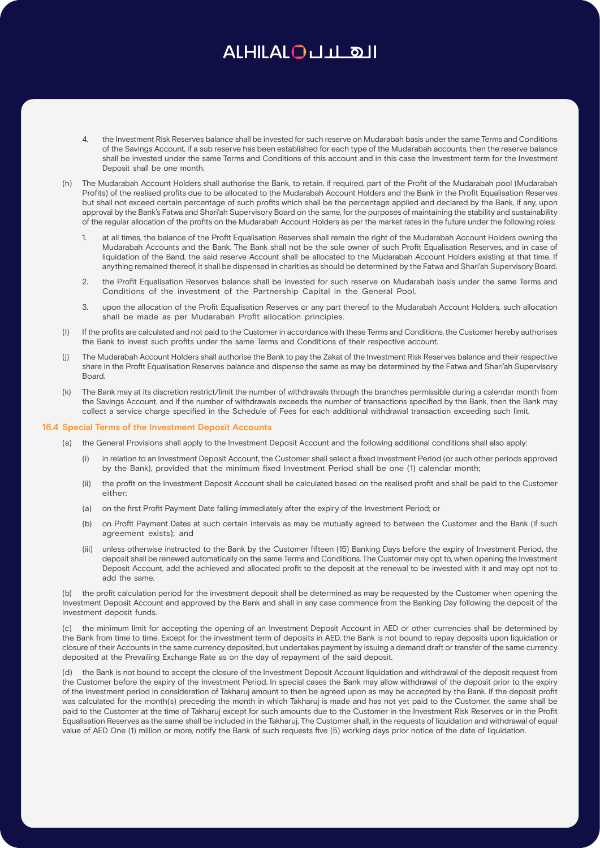- 4. the Investment Risk Reserves balance shall be invested for such reserve on Mudarabah basis under the same Terms and Conditions of the Savings Account, if a sub reserve has been established for each type of the Mudarabah accounts, then the reserve balance shall be invested under the same Terms and Conditions of this account and in this case the Investment term for the Investment Deposit shall be one month.
- (h) The Mudarabah Account Holders shall authorise the Bank, to retain, if required, part of the Profit of the Mudarabah pool (Mudarabah Profits) of the realised profits due to be allocated to the Mudarabah Account Holders and the Bank in the Profit Equalisation Reserves but shall not exceed certain percentage of such profits which shall be the percentage applied and declared by the Bank, if any, upon approval by the Bank's Fatwa and Shari'ah Supervisory Board on the same, for the purposes of maintaining the stability and sustainability of the regular allocation of the profits on the Mudarabah Account Holders as per the market rates in the future under the following roles:
	- at all times, the balance of the Profit Equalisation Reserves shall remain the right of the Mudarabah Account Holders owning the Mudarabah Accounts and the Bank. The Bank shall not be the sole owner of such Profit Equalisation Reserves, and in case of liquidation of the Band, the said reserve Account shall be allocated to the Mudarabah Account Holders existing at that time. If anything remained thereof, it shall be dispensed in charities as should be determined by the Fatwa and Shari'ah Supervisory Board.
	- 2. the Profit Equalisation Reserves balance shall be invested for such reserve on Mudarabah basis under the same Terms and Conditions of the investment of the Partnership Capital in the General Pool.
	- 3. upon the allocation of the Profit Equalisation Reserves or any part thereof to the Mudarabah Account Holders, such allocation shall be made as per Mudarabah Profit allocation principles.
- (I) If the profits are calculated and not paid to the Customer in accordance with these Terms and Conditions, the Customer hereby authorises the Bank to invest such profits under the same Terms and Conditions of their respective account.
- (j) The Mudarabah Account Holders shall authorise the Bank to pay the Zakat of the Investment Risk Reserves balance and their respective share in the Profit Equalisation Reserves balance and dispense the same as may be determined by the Fatwa and Shari'ah Supervisory Board.
- (k) The Bank may at its discretion restrict/limit the number of withdrawals through the branches permissible during a calendar month from the Savings Account, and if the number of withdrawals exceeds the number of transactions specified by the Bank, then the Bank may collect a service charge specified in the Schedule of Fees for each additional withdrawal transaction exceeding such limit.

### **16.4 Special Terms of the Investment Deposit Accounts**

- (a) the General Provisions shall apply to the Investment Deposit Account and the following additional conditions shall also apply:
	- (i) in relation to an Investment Deposit Account, the Customer shall select a fixed Investment Period (or such other periods approved by the Bank), provided that the minimum fixed Investment Period shall be one (1) calendar month;
	- (ii) the profit on the Investment Deposit Account shall be calculated based on the realised profit and shall be paid to the Customer either:
	- (a) on the first Profit Payment Date falling immediately after the expiry of the Investment Period; or
	- (b) on Profit Payment Dates at such certain intervals as may be mutually agreed to between the Customer and the Bank (if such agreement exists); and
	- (iii) unless otherwise instructed to the Bank by the Customer fifteen (15) Banking Days before the expiry of Investment Period, the deposit shall be renewed automatically on the same Terms and Conditions. The Customer may opt to, when opening the Investment Deposit Account, add the achieved and allocated profit to the deposit at the renewal to be invested with it and may opt not to add the same.

(b) the profit calculation period for the investment deposit shall be determined as may be requested by the Customer when opening the Investment Deposit Account and approved by the Bank and shall in any case commence from the Banking Day following the deposit of the investment deposit funds.

(c) the minimum limit for accepting the opening of an Investment Deposit Account in AED or other currencies shall be determined by the Bank from time to time. Except for the investment term of deposits in AED, the Bank is not bound to repay deposits upon liquidation or closure of their Accounts in the same currency deposited, but undertakes payment by issuing a demand draft or transfer of the same currency deposited at the Prevailing Exchange Rate as on the day of repayment of the said deposit.

(d) the Bank is not bound to accept the closure of the Investment Deposit Account liquidation and withdrawal of the deposit request from the Customer before the expiry of the Investment Period. In special cases the Bank may allow withdrawal of the deposit prior to the expiry of the investment period in consideration of Takharuj amount to then be agreed upon as may be accepted by the Bank. If the deposit profit was calculated for the month(s) preceding the month in which Takharuj is made and has not yet paid to the Customer, the same shall be paid to the Customer at the time of Takharuj except for such amounts due to the Customer in the Investment Risk Reserves or in the Profit Equalisation Reserves as the same shall be included in the Takharuj. The Customer shall, in the requests of liquidation and withdrawal of equal value of AED One (1) million or more, notify the Bank of such requests five (5) working days prior notice of the date of liquidation.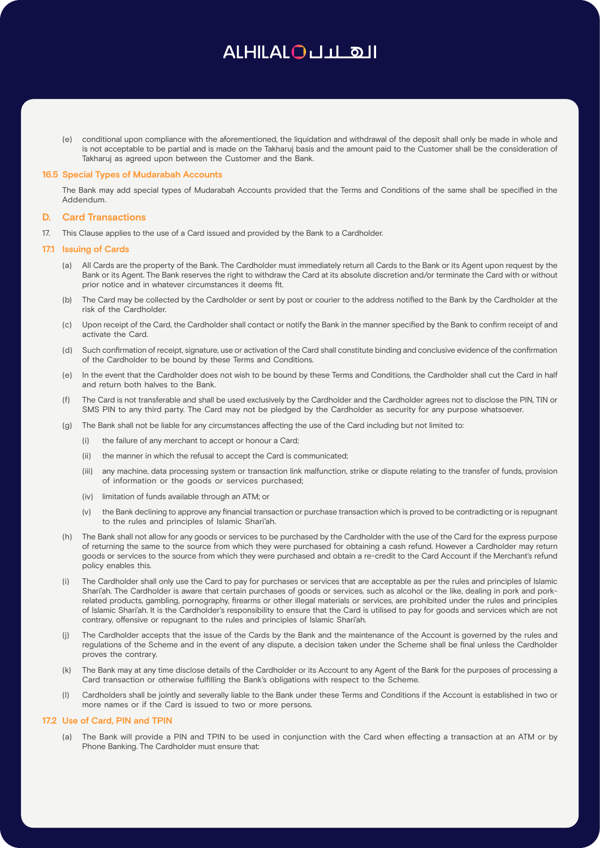(e) conditional upon compliance with the aforementioned, the liquidation and withdrawal of the deposit shall only be made in whole and is not acceptable to be partial and is made on the Takharuj basis and the amount paid to the Customer shall be the consideration of Takharuj as agreed upon between the Customer and the Bank.

### **16.5 Special Types of Mudarabah Accounts**

The Bank may add special types of Mudarabah Accounts provided that the Terms and Conditions of the same shall be specified in the Addendum.

### **D. Card Transactions**

17. This Clause applies to the use of a Card issued and provided by the Bank to a Cardholder.

#### **17.1 Issuing of Cards**

- (a) All Cards are the property of the Bank. The Cardholder must immediately return all Cards to the Bank or its Agent upon request by the Bank or its Agent. The Bank reserves the right to withdraw the Card at its absolute discretion and/or terminate the Card with or without prior notice and in whatever circumstances it deems fit.
- (b) The Card may be collected by the Cardholder or sent by post or courier to the address notified to the Bank by the Cardholder at the risk of the Cardholder.
- (c) Upon receipt of the Card, the Cardholder shall contact or notify the Bank in the manner specified by the Bank to confirm receipt of and activate the Card.
- (d) Such confirmation of receipt, signature, use or activation of the Card shall constitute binding and conclusive evidence of the confirmation of the Cardholder to be bound by these Terms and Conditions.
- (e) In the event that the Cardholder does not wish to be bound by these Terms and Conditions, the Cardholder shall cut the Card in half and return both halves to the Bank.
- (f) The Card is not transferable and shall be used exclusively by the Cardholder and the Cardholder agrees not to disclose the PIN, TIN or SMS PIN to any third party. The Card may not be pledged by the Cardholder as security for any purpose whatsoever.
- (g) The Bank shall not be liable for any circumstances affecting the use of the Card including but not limited to:
	- (i) the failure of any merchant to accept or honour a Card;
	- (ii) the manner in which the refusal to accept the Card is communicated;
	- (iii) any machine, data processing system or transaction link malfunction, strike or dispute relating to the transfer of funds, provision of information or the goods or services purchased;
	- (iv) limitation of funds available through an ATM; or
	- (v) the Bank declining to approve any financial transaction or purchase transaction which is proved to be contradicting or is repugnant to the rules and principles of Islamic Shari'ah.
- (h) The Bank shall not allow for any goods or services to be purchased by the Cardholder with the use of the Card for the express purpose of returning the same to the source from which they were purchased for obtaining a cash refund. However a Cardholder may return goods or services to the source from which they were purchased and obtain a re-credit to the Card Account if the Merchant's refund policy enables this.
- (i) The Cardholder shall only use the Card to pay for purchases or services that are acceptable as per the rules and principles of Islamic Shari'ah. The Cardholder is aware that certain purchases of goods or services, such as alcohol or the like, dealing in pork and porkrelated products, gambling, pornography, firearms or other illegal materials or services, are prohibited under the rules and principles of Islamic Shari'ah. It is the Cardholder's responsibility to ensure that the Card is utilised to pay for goods and services which are not contrary, offensive or repugnant to the rules and principles of Islamic Shari'ah.
- (j) The Cardholder accepts that the issue of the Cards by the Bank and the maintenance of the Account is governed by the rules and regulations of the Scheme and in the event of any dispute, a decision taken under the Scheme shall be final unless the Cardholder proves the contrary.
- (k) The Bank may at any time disclose details of the Cardholder or its Account to any Agent of the Bank for the purposes of processing a Card transaction or otherwise fulfilling the Bank's obligations with respect to the Scheme.
- Cardholders shall be jointly and severally liable to the Bank under these Terms and Conditions if the Account is established in two or more names or if the Card is issued to two or more persons.

## **17.2 Use of Card, PIN and TPIN**

(a) The Bank will provide a PIN and TPIN to be used in conjunction with the Card when effecting a transaction at an ATM or by Phone Banking. The Cardholder must ensure that: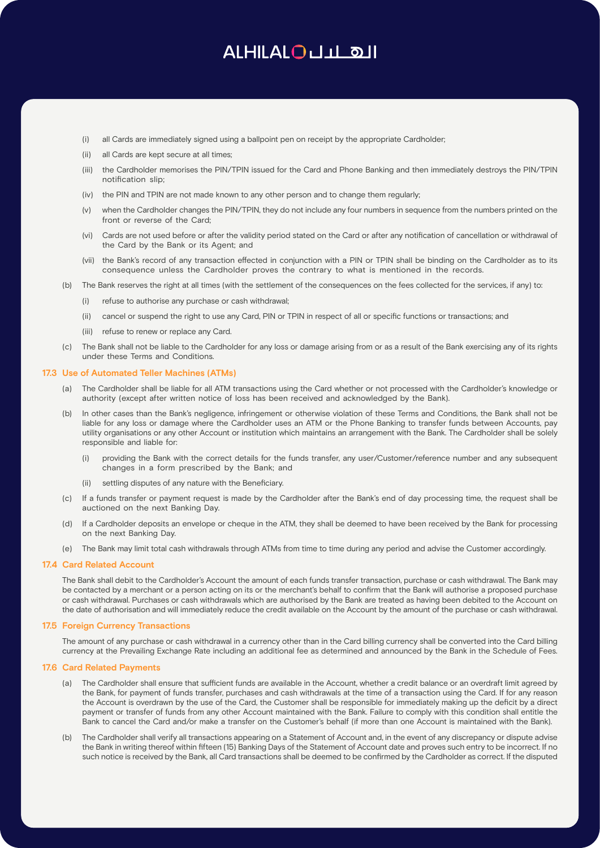- (i) all Cards are immediately signed using a ballpoint pen on receipt by the appropriate Cardholder;
- (ii) all Cards are kept secure at all times;
- (iii) the Cardholder memorises the PIN/TPIN issued for the Card and Phone Banking and then immediately destroys the PIN/TPIN notification slip;
- (iv) the PIN and TPIN are not made known to any other person and to change them regularly;
- (v) when the Cardholder changes the PIN/TPIN, they do not include any four numbers in sequence from the numbers printed on the front or reverse of the Card;
- (vi) Cards are not used before or after the validity period stated on the Card or after any notification of cancellation or withdrawal of the Card by the Bank or its Agent; and
- (vii) the Bank's record of any transaction effected in conjunction with a PIN or TPIN shall be binding on the Cardholder as to its consequence unless the Cardholder proves the contrary to what is mentioned in the records.
- (b) The Bank reserves the right at all times (with the settlement of the consequences on the fees collected for the services, if any) to:
	- (i) refuse to authorise any purchase or cash withdrawal;
	- (ii) cancel or suspend the right to use any Card, PIN or TPIN in respect of all or specific functions or transactions; and
	- (iii) refuse to renew or replace any Card.
- (c) The Bank shall not be liable to the Cardholder for any loss or damage arising from or as a result of the Bank exercising any of its rights under these Terms and Conditions.

## **17.3 Use of Automated Teller Machines (ATMs)**

- (a) The Cardholder shall be liable for all ATM transactions using the Card whether or not processed with the Cardholder's knowledge or authority (except after written notice of loss has been received and acknowledged by the Bank).
- (b) In other cases than the Bank's negligence, infringement or otherwise violation of these Terms and Conditions, the Bank shall not be liable for any loss or damage where the Cardholder uses an ATM or the Phone Banking to transfer funds between Accounts, pay utility organisations or any other Account or institution which maintains an arrangement with the Bank. The Cardholder shall be solely responsible and liable for:
	- (i) providing the Bank with the correct details for the funds transfer, any user/Customer/reference number and any subsequent changes in a form prescribed by the Bank; and
	- (ii) settling disputes of any nature with the Beneficiary.
- (c) If a funds transfer or payment request is made by the Cardholder after the Bank's end of day processing time, the request shall be auctioned on the next Banking Day.
- (d) If a Cardholder deposits an envelope or cheque in the ATM, they shall be deemed to have been received by the Bank for processing on the next Banking Day.
- (e) The Bank may limit total cash withdrawals through ATMs from time to time during any period and advise the Customer accordingly.

#### **17.4 Card Related Account**

The Bank shall debit to the Cardholder's Account the amount of each funds transfer transaction, purchase or cash withdrawal. The Bank may be contacted by a merchant or a person acting on its or the merchant's behalf to confirm that the Bank will authorise a proposed purchase or cash withdrawal. Purchases or cash withdrawals which are authorised by the Bank are treated as having been debited to the Account on the date of authorisation and will immediately reduce the credit available on the Account by the amount of the purchase or cash withdrawal.

### **17.5 Foreign Currency Transactions**

The amount of any purchase or cash withdrawal in a currency other than in the Card billing currency shall be converted into the Card billing currency at the Prevailing Exchange Rate including an additional fee as determined and announced by the Bank in the Schedule of Fees.

## **17.6 Card Related Payments**

- (a) The Cardholder shall ensure that sufficient funds are available in the Account, whether a credit balance or an overdraft limit agreed by the Bank, for payment of funds transfer, purchases and cash withdrawals at the time of a transaction using the Card. If for any reason the Account is overdrawn by the use of the Card, the Customer shall be responsible for immediately making up the deficit by a direct payment or transfer of funds from any other Account maintained with the Bank. Failure to comply with this condition shall entitle the Bank to cancel the Card and/or make a transfer on the Customer's behalf (if more than one Account is maintained with the Bank).
- (b) The Cardholder shall verify all transactions appearing on a Statement of Account and, in the event of any discrepancy or dispute advise the Bank in writing thereof within fifteen (15) Banking Days of the Statement of Account date and proves such entry to be incorrect. If no such notice is received by the Bank, all Card transactions shall be deemed to be confirmed by the Cardholder as correct. If the disputed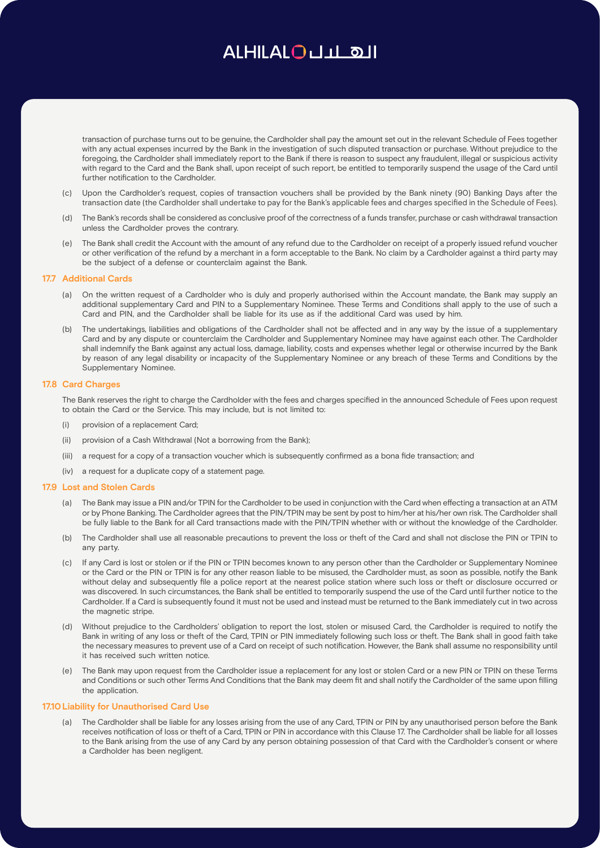transaction of purchase turns out to be genuine, the Cardholder shall pay the amount set out in the relevant Schedule of Fees together with any actual expenses incurred by the Bank in the investigation of such disputed transaction or purchase. Without prejudice to the foregoing, the Cardholder shall immediately report to the Bank if there is reason to suspect any fraudulent, illegal or suspicious activity with regard to the Card and the Bank shall, upon receipt of such report, be entitled to temporarily suspend the usage of the Card until further notification to the Cardholder.

- (c) Upon the Cardholder's request, copies of transaction vouchers shall be provided by the Bank ninety (90) Banking Days after the transaction date (the Cardholder shall undertake to pay for the Bank's applicable fees and charges specified in the Schedule of Fees).
- (d) The Bank's records shall be considered as conclusive proof of the correctness of a funds transfer, purchase or cash withdrawal transaction unless the Cardholder proves the contrary.
- (e) The Bank shall credit the Account with the amount of any refund due to the Cardholder on receipt of a properly issued refund voucher or other verification of the refund by a merchant in a form acceptable to the Bank. No claim by a Cardholder against a third party may be the subject of a defense or counterclaim against the Bank.

### **17.7 Additional Cards**

- (a) On the written request of a Cardholder who is duly and properly authorised within the Account mandate, the Bank may supply an additional supplementary Card and PIN to a Supplementary Nominee. These Terms and Conditions shall apply to the use of such a Card and PIN, and the Cardholder shall be liable for its use as if the additional Card was used by him.
- (b) The undertakings, liabilities and obligations of the Cardholder shall not be affected and in any way by the issue of a supplementary Card and by any dispute or counterclaim the Cardholder and Supplementary Nominee may have against each other. The Cardholder shall indemnify the Bank against any actual loss, damage, liability, costs and expenses whether legal or otherwise incurred by the Bank by reason of any legal disability or incapacity of the Supplementary Nominee or any breach of these Terms and Conditions by the Supplementary Nominee.

#### **17.8 Card Charges**

The Bank reserves the right to charge the Cardholder with the fees and charges specified in the announced Schedule of Fees upon request to obtain the Card or the Service. This may include, but is not limited to:

- (i) provision of a replacement Card;
- (ii) provision of a Cash Withdrawal (Not a borrowing from the Bank);
- (iii) a request for a copy of a transaction voucher which is subsequently confirmed as a bona fide transaction; and
- (iv) a request for a duplicate copy of a statement page.

#### **17.9 Lost and Stolen Cards**

- (a) The Bank may issue a PIN and/or TPIN for the Cardholder to be used in conjunction with the Card when effecting a transaction at an ATM or by Phone Banking. The Cardholder agrees that the PIN/TPIN may be sent by post to him/her at his/her own risk. The Cardholder shall be fully liable to the Bank for all Card transactions made with the PIN/TPIN whether with or without the knowledge of the Cardholder.
- (b) The Cardholder shall use all reasonable precautions to prevent the loss or theft of the Card and shall not disclose the PIN or TPIN to any party.
- (c) If any Card is lost or stolen or if the PIN or TPIN becomes known to any person other than the Cardholder or Supplementary Nominee or the Card or the PIN or TPIN is for any other reason liable to be misused, the Cardholder must, as soon as possible, notify the Bank without delay and subsequently file a police report at the nearest police station where such loss or theft or disclosure occurred or was discovered. In such circumstances, the Bank shall be entitled to temporarily suspend the use of the Card until further notice to the Cardholder. If a Card is subsequently found it must not be used and instead must be returned to the Bank immediately cut in two across the magnetic stripe.
- (d) Without prejudice to the Cardholders' obligation to report the lost, stolen or misused Card, the Cardholder is required to notify the Bank in writing of any loss or theft of the Card, TPIN or PIN immediately following such loss or theft. The Bank shall in good faith take the necessary measures to prevent use of a Card on receipt of such notification. However, the Bank shall assume no responsibility until it has received such written notice.
- (e) The Bank may upon request from the Cardholder issue a replacement for any lost or stolen Card or a new PIN or TPIN on these Terms and Conditions or such other Terms And Conditions that the Bank may deem fit and shall notify the Cardholder of the same upon filling the application.

### **17.10Liability for Unauthorised Card Use**

(a) The Cardholder shall be liable for any losses arising from the use of any Card, TPIN or PIN by any unauthorised person before the Bank receives notification of loss or theft of a Card, TPIN or PIN in accordance with this Clause 17. The Cardholder shall be liable for all losses to the Bank arising from the use of any Card by any person obtaining possession of that Card with the Cardholder's consent or where a Cardholder has been negligent.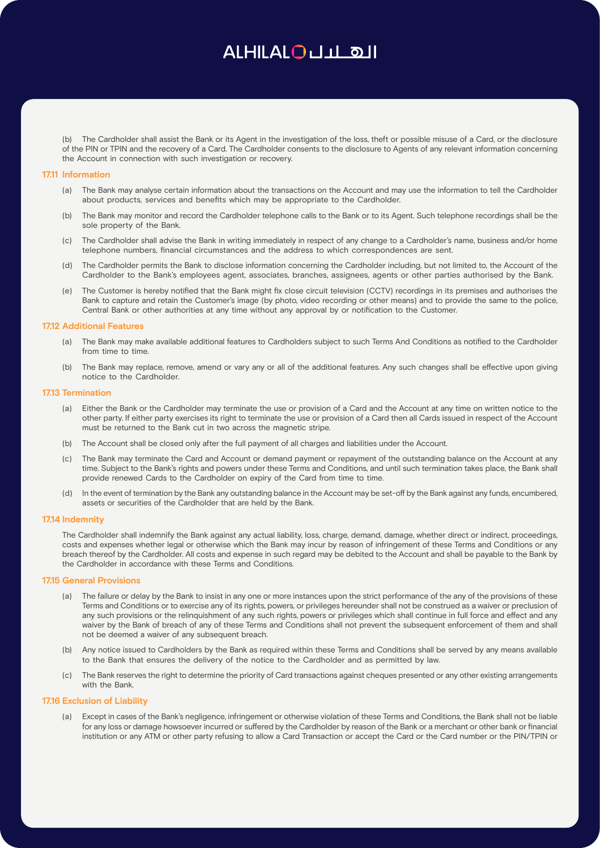(b) The Cardholder shall assist the Bank or its Agent in the investigation of the loss, theft or possible misuse of a Card, or the disclosure of the PIN or TPIN and the recovery of a Card. The Cardholder consents to the disclosure to Agents of any relevant information concerning the Account in connection with such investigation or recovery.

#### **17.11 Information**

- (a) The Bank may analyse certain information about the transactions on the Account and may use the information to tell the Cardholder about products, services and benefits which may be appropriate to the Cardholder.
- (b) The Bank may monitor and record the Cardholder telephone calls to the Bank or to its Agent. Such telephone recordings shall be the sole property of the Bank.
- (c) The Cardholder shall advise the Bank in writing immediately in respect of any change to a Cardholder's name, business and/or home telephone numbers, financial circumstances and the address to which correspondences are sent.
- (d) The Cardholder permits the Bank to disclose information concerning the Cardholder including, but not limited to, the Account of the Cardholder to the Bank's employees agent, associates, branches, assignees, agents or other parties authorised by the Bank.
- The Customer is hereby notified that the Bank might fix close circuit television (CCTV) recordings in its premises and authorises the Bank to capture and retain the Customer's image (by photo, video recording or other means) and to provide the same to the police, Central Bank or other authorities at any time without any approval by or notification to the Customer.

### **17.12 Additional Features**

- (a) The Bank may make available additional features to Cardholders subject to such Terms And Conditions as notified to the Cardholder from time to time.
- (b) The Bank may replace, remove, amend or vary any or all of the additional features. Any such changes shall be effective upon giving notice to the Cardholder.

## **17.13 Termination**

- (a) Either the Bank or the Cardholder may terminate the use or provision of a Card and the Account at any time on written notice to the other party. If either party exercises its right to terminate the use or provision of a Card then all Cards issued in respect of the Account must be returned to the Bank cut in two across the magnetic stripe.
- (b) The Account shall be closed only after the full payment of all charges and liabilities under the Account.
- (c) The Bank may terminate the Card and Account or demand payment or repayment of the outstanding balance on the Account at any time. Subject to the Bank's rights and powers under these Terms and Conditions, and until such termination takes place, the Bank shall provide renewed Cards to the Cardholder on expiry of the Card from time to time.
- (d) In the event of termination by the Bank any outstanding balance in the Account may be set-off by the Bank against any funds, encumbered, assets or securities of the Cardholder that are held by the Bank.

#### **17.14 Indemnity**

The Cardholder shall indemnify the Bank against any actual liability, loss, charge, demand, damage, whether direct or indirect, proceedings, costs and expenses whether legal or otherwise which the Bank may incur by reason of infringement of these Terms and Conditions or any breach thereof by the Cardholder. All costs and expense in such regard may be debited to the Account and shall be payable to the Bank by the Cardholder in accordance with these Terms and Conditions.

### **17.15 General Provisions**

- (a) The failure or delay by the Bank to insist in any one or more instances upon the strict performance of the any of the provisions of these Terms and Conditions or to exercise any of its rights, powers, or privileges hereunder shall not be construed as a waiver or preclusion of any such provisions or the relinquishment of any such rights, powers or privileges which shall continue in full force and effect and any waiver by the Bank of breach of any of these Terms and Conditions shall not prevent the subsequent enforcement of them and shall not be deemed a waiver of any subsequent breach.
- (b) Any notice issued to Cardholders by the Bank as required within these Terms and Conditions shall be served by any means available to the Bank that ensures the delivery of the notice to the Cardholder and as permitted by law.
- The Bank reserves the right to determine the priority of Card transactions against cheques presented or any other existing arrangements with the Bank.

## **17.16 Exclusion of Liability**

(a) Except in cases of the Bank's negligence, infringement or otherwise violation of these Terms and Conditions, the Bank shall not be liable for any loss or damage howsoever incurred or suffered by the Cardholder by reason of the Bank or a merchant or other bank or financial institution or any ATM or other party refusing to allow a Card Transaction or accept the Card or the Card number or the PIN/TPIN or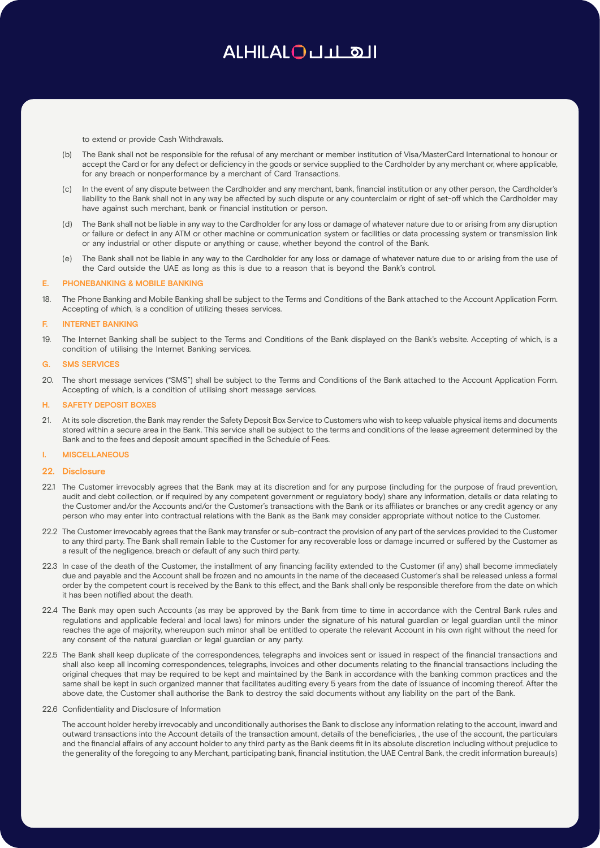to extend or provide Cash Withdrawals.

- (b) The Bank shall not be responsible for the refusal of any merchant or member institution of Visa/MasterCard International to honour or accept the Card or for any defect or deficiency in the goods or service supplied to the Cardholder by any merchant or, where applicable, for any breach or nonperformance by a merchant of Card Transactions.
- In the event of any dispute between the Cardholder and any merchant, bank, financial institution or any other person, the Cardholder's liability to the Bank shall not in any way be affected by such dispute or any counterclaim or right of set-off which the Cardholder may have against such merchant, bank or financial institution or person.
- (d) The Bank shall not be liable in any way to the Cardholder for any loss or damage of whatever nature due to or arising from any disruption or failure or defect in any ATM or other machine or communication system or facilities or data processing system or transmission link or any industrial or other dispute or anything or cause, whether beyond the control of the Bank.
- (e) The Bank shall not be liable in any way to the Cardholder for any loss or damage of whatever nature due to or arising from the use of the Card outside the UAE as long as this is due to a reason that is beyond the Bank's control.

### **E. PHONEBANKING & MOBILE BANKING**

18. The Phone Banking and Mobile Banking shall be subject to the Terms and Conditions of the Bank attached to the Account Application Form. Accepting of which, is a condition of utilizing theses services.

#### **F. INTERNET BANKING**

19. The Internet Banking shall be subject to the Terms and Conditions of the Bank displayed on the Bank's website. Accepting of which, is a condition of utilising the Internet Banking services.

#### **G. SMS SERVICES**

20. The short message services ("SMS") shall be subject to the Terms and Conditions of the Bank attached to the Account Application Form. Accepting of which, is a condition of utilising short message services.

### **H. SAFETY DEPOSIT BOXES**

21. At its sole discretion, the Bank may render the Safety Deposit Box Service to Customers who wish to keep valuable physical items and documents stored within a secure area in the Bank. This service shall be subject to the terms and conditions of the lease agreement determined by the Bank and to the fees and deposit amount specified in the Schedule of Fees.

#### **I. MISCELLANEOUS**

#### **22. Disclosure**

- 22.1 The Customer irrevocably agrees that the Bank may at its discretion and for any purpose (including for the purpose of fraud prevention, audit and debt collection, or if required by any competent government or regulatory body) share any information, details or data relating to the Customer and/or the Accounts and/or the Customer's transactions with the Bank or its affiliates or branches or any credit agency or any person who may enter into contractual relations with the Bank as the Bank may consider appropriate without notice to the Customer.
- 22.2 The Customer irrevocably agrees that the Bank may transfer or sub-contract the provision of any part of the services provided to the Customer to any third party. The Bank shall remain liable to the Customer for any recoverable loss or damage incurred or suffered by the Customer as a result of the negligence, breach or default of any such third party.
- 22.3 In case of the death of the Customer, the installment of any financing facility extended to the Customer (if any) shall become immediately due and payable and the Account shall be frozen and no amounts in the name of the deceased Customer's shall be released unless a formal order by the competent court is received by the Bank to this effect, and the Bank shall only be responsible therefore from the date on which it has been notified about the death.
- 22.4 The Bank may open such Accounts (as may be approved by the Bank from time to time in accordance with the Central Bank rules and regulations and applicable federal and local laws) for minors under the signature of his natural guardian or legal guardian until the minor reaches the age of majority, whereupon such minor shall be entitled to operate the relevant Account in his own right without the need for any consent of the natural guardian or legal guardian or any party.
- 22.5 The Bank shall keep duplicate of the correspondences, telegraphs and invoices sent or issued in respect of the financial transactions and shall also keep all incoming correspondences, telegraphs, invoices and other documents relating to the financial transactions including the original cheques that may be required to be kept and maintained by the Bank in accordance with the banking common practices and the same shall be kept in such organized manner that facilitates auditing every 5 years from the date of issuance of incoming thereof. After the above date, the Customer shall authorise the Bank to destroy the said documents without any liability on the part of the Bank.

## 22.6 Confidentiality and Disclosure of Information

The account holder hereby irrevocably and unconditionally authorises the Bank to disclose any information relating to the account, inward and outward transactions into the Account details of the transaction amount, details of the beneficiaries, , the use of the account, the particulars and the financial affairs of any account holder to any third party as the Bank deems fit in its absolute discretion including without prejudice to the generality of the foregoing to any Merchant, participating bank, financial institution, the UAE Central Bank, the credit information bureau(s)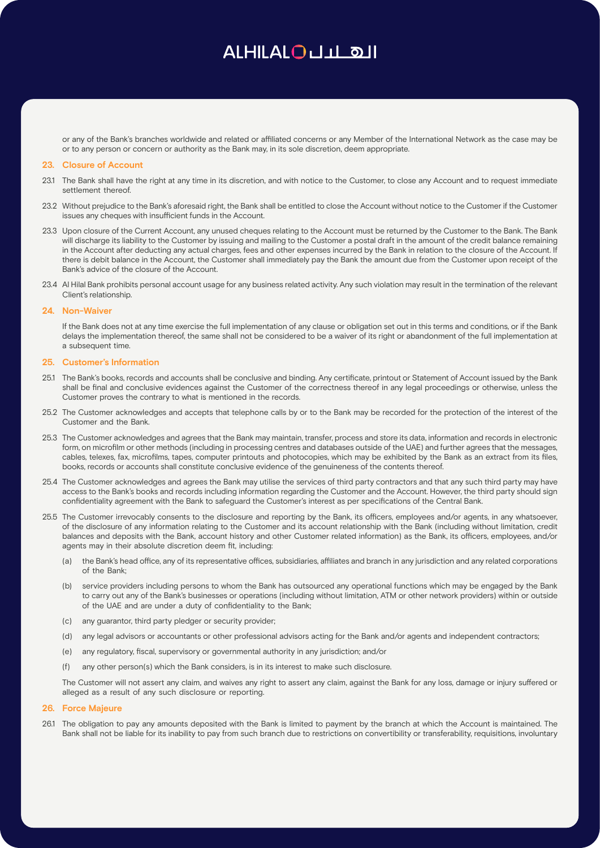or any of the Bank's branches worldwide and related or affiliated concerns or any Member of the International Network as the case may be or to any person or concern or authority as the Bank may, in its sole discretion, deem appropriate.

#### **23. Closure of Account**

- 23.1 The Bank shall have the right at any time in its discretion, and with notice to the Customer, to close any Account and to request immediate settlement thereof
- 23.2 Without prejudice to the Bank's aforesaid right, the Bank shall be entitled to close the Account without notice to the Customer if the Customer issues any cheques with insufficient funds in the Account.
- 23.3 Upon closure of the Current Account, any unused cheques relating to the Account must be returned by the Customer to the Bank. The Bank will discharge its liability to the Customer by issuing and mailing to the Customer a postal draft in the amount of the credit balance remaining in the Account after deducting any actual charges, fees and other expenses incurred by the Bank in relation to the closure of the Account. If there is debit balance in the Account, the Customer shall immediately pay the Bank the amount due from the Customer upon receipt of the Bank's advice of the closure of the Account.
- 23.4 Al Hilal Bank prohibits personal account usage for any business related activity. Any such violation may result in the termination of the relevant Client's relationship.

#### **24. Non-Waiver**

If the Bank does not at any time exercise the full implementation of any clause or obligation set out in this terms and conditions, or if the Bank delays the implementation thereof, the same shall not be considered to be a waiver of its right or abandonment of the full implementation at a subsequent time.

#### **25. Customer's Information**

- 25.1 The Bank's books, records and accounts shall be conclusive and binding. Any certificate, printout or Statement of Account issued by the Bank shall be final and conclusive evidences against the Customer of the correctness thereof in any legal proceedings or otherwise, unless the Customer proves the contrary to what is mentioned in the records.
- 25.2 The Customer acknowledges and accepts that telephone calls by or to the Bank may be recorded for the protection of the interest of the Customer and the Bank.
- 25.3 The Customer acknowledges and agrees that the Bank may maintain, transfer, process and store its data, information and records in electronic form, on microfilm or other methods (including in processing centres and databases outside of the UAE) and further agrees that the messages, cables, telexes, fax, microfilms, tapes, computer printouts and photocopies, which may be exhibited by the Bank as an extract from its files, books, records or accounts shall constitute conclusive evidence of the genuineness of the contents thereof.
- 25.4 The Customer acknowledges and agrees the Bank may utilise the services of third party contractors and that any such third party may have access to the Bank's books and records including information regarding the Customer and the Account. However, the third party should sign confidentiality agreement with the Bank to safeguard the Customer's interest as per specifications of the Central Bank.
- 25.5 The Customer irrevocably consents to the disclosure and reporting by the Bank, its officers, employees and/or agents, in any whatsoever, of the disclosure of any information relating to the Customer and its account relationship with the Bank (including without limitation, credit balances and deposits with the Bank, account history and other Customer related information) as the Bank, its officers, employees, and/or agents may in their absolute discretion deem fit, including:
	- (a) the Bank's head office, any of its representative offices, subsidiaries, affiliates and branch in any jurisdiction and any related corporations of the Bank;
	- (b) service providers including persons to whom the Bank has outsourced any operational functions which may be engaged by the Bank to carry out any of the Bank's businesses or operations (including without limitation, ATM or other network providers) within or outside of the UAE and are under a duty of confidentiality to the Bank;
	- (c) any guarantor, third party pledger or security provider;
	- (d) any legal advisors or accountants or other professional advisors acting for the Bank and/or agents and independent contractors;
	- (e) any regulatory, fiscal, supervisory or governmental authority in any jurisdiction; and/or
	- (f) any other person(s) which the Bank considers, is in its interest to make such disclosure.

The Customer will not assert any claim, and waives any right to assert any claim, against the Bank for any loss, damage or injury suffered or alleged as a result of any such disclosure or reporting.

#### **26. Force Majeure**

26.1 The obligation to pay any amounts deposited with the Bank is limited to payment by the branch at which the Account is maintained. The Bank shall not be liable for its inability to pay from such branch due to restrictions on convertibility or transferability, requisitions, involuntary